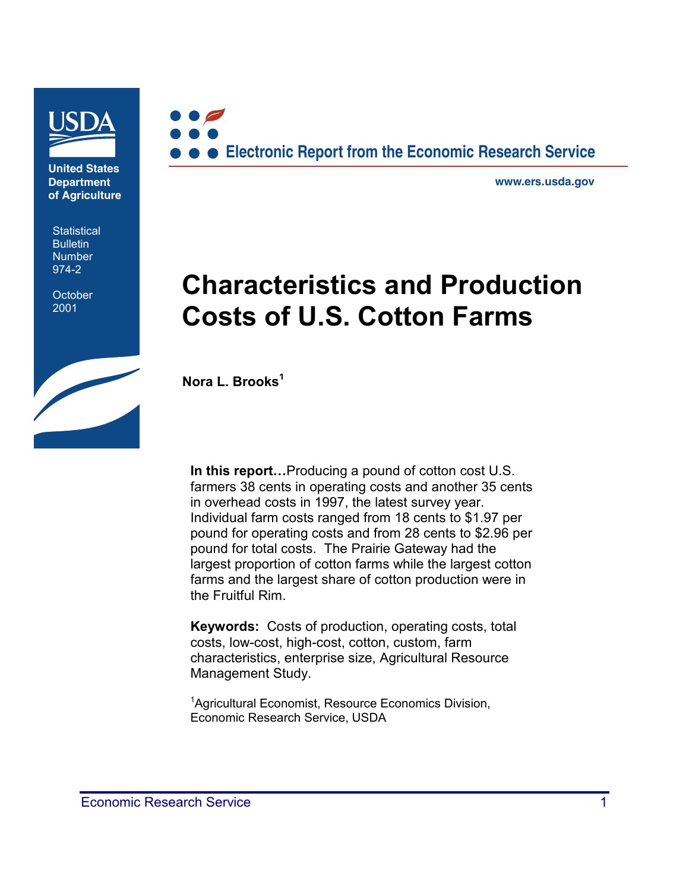

**United States Department of Agriculture**

**Statistical Bulletin** Number 974-2

**October** 2001



**www.ers.usda.gov**

# **Characteristics and Production Costs of U.S. Cotton Farms**

**Nora L. Brooks<sup>1</sup>**

**In this report…**Producing a pound of cotton cost U.S. farmers 38 cents in operating costs and another 35 cents in overhead costs in 1997, the latest survey year. Individual farm costs ranged from 18 cents to \$1.97 per pound for operating costs and from 28 cents to \$2.96 per pound for total costs. The Prairie Gateway had the largest proportion of cotton farms while the largest cotton farms and the largest share of cotton production were in the Fruitful Rim.

**Keywords:** Costs of production, operating costs, total costs, low-cost, high-cost, cotton, custom, farm characteristics, enterprise size, Agricultural Resource Management Study.

<sup>1</sup>Agricultural Economist, Resource Economics Division, Economic Research Service, USDA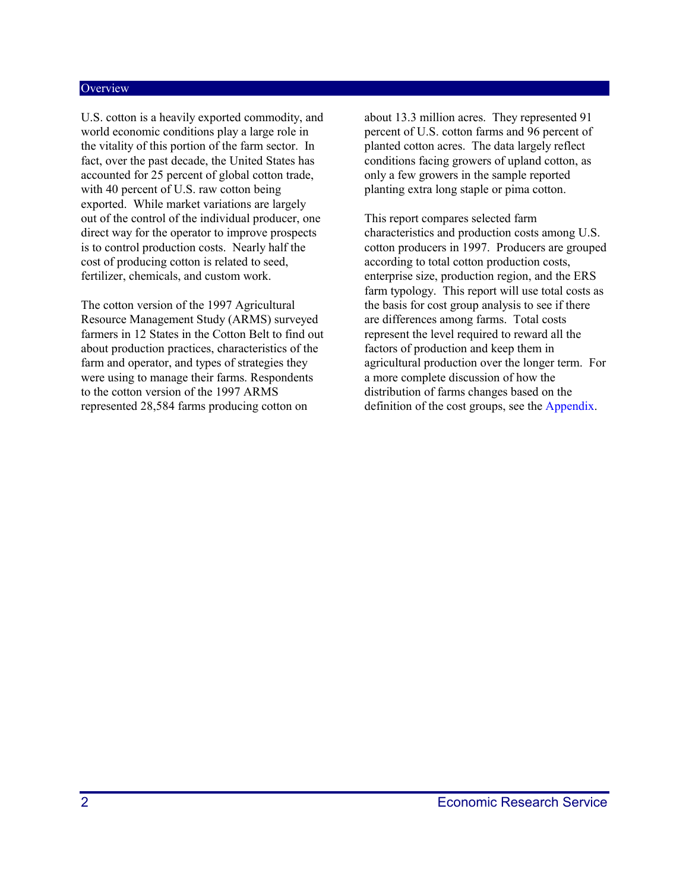#### **Overview**

U.S. cotton is a heavily exported commodity, and world economic conditions play a large role in the vitality of this portion of the farm sector. In fact, over the past decade, the United States has accounted for 25 percent of global cotton trade, with 40 percent of U.S. raw cotton being exported. While market variations are largely out of the control of the individual producer, one direct way for the operator to improve prospects is to control production costs. Nearly half the cost of producing cotton is related to seed, fertilizer, chemicals, and custom work.

The cotton version of the 1997 Agricultural Resource Management Study (ARMS) surveyed farmers in 12 States in the Cotton Belt to find out about production practices, characteristics of the farm and operator, and types of strategies they were using to manage their farms. Respondents to the cotton version of the 1997 ARMS represented 28,584 farms producing cotton on

about 13.3 million acres. They represented 91 percent of U.S. cotton farms and 96 percent of planted cotton acres. The data largely reflect conditions facing growers of upland cotton, as only a few growers in the sample reported planting extra long staple or pima cotton.

This report compares selected farm characteristics and production costs among U.S. cotton producers in 1997. Producers are grouped according to total cotton production costs, enterprise size, production region, and the ERS farm typology. This report will use total costs as the basis for cost group analysis to see if there are differences among farms. Total costs represent the level required to reward all the factors of production and keep them in agricultural production over the longer term. For a more complete discussion of how the distribution of farms changes based on the definition of the cost groups, see the [Appendix.](#page-20-0)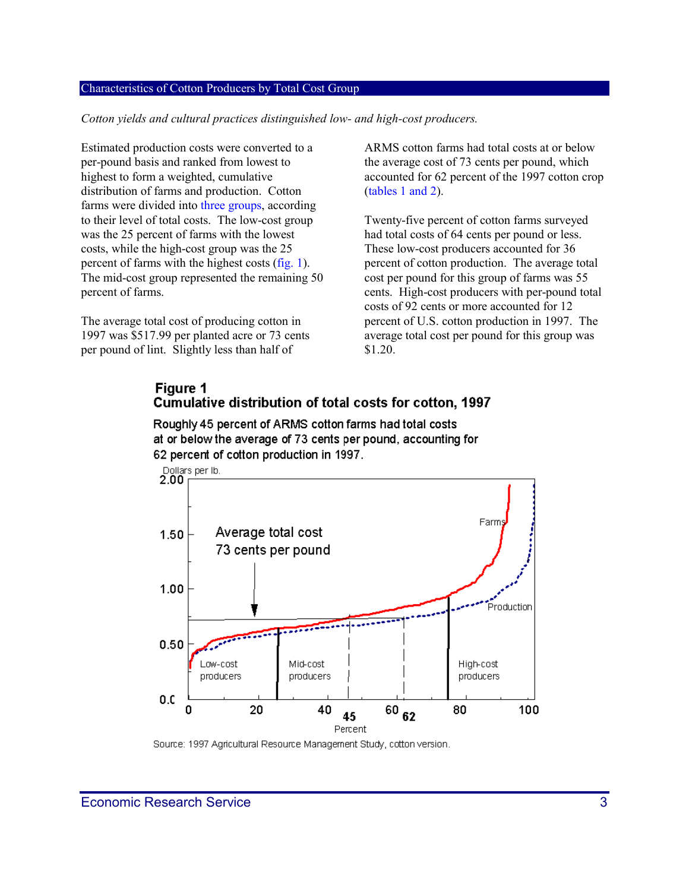#### Characteristics of Cotton Producers by Total Cost Group

*Cotton yields and cultural practices distinguished low- and high-cost producers.*

Estimated production costs were converted to a per-pound basis and ranked from lowest to highest to form a weighted, cumulative distribution of farms and production. Cotton farms were divided into [three groups,](#page-17-0) according to their level of total costs. The low-cost group was the 25 percent of farms with the lowest costs, while the high-cost group was the 25 percent of farms with the highest costs [\(fig. 1\).](#page-2-0)  The mid-cost group represented the remaining 50 percent of farms.

<span id="page-2-0"></span>The average total cost of producing cotton in 1997 was \$517.99 per planted acre or 73 cents per pound of lint. Slightly less than half of

ARMS cotton farms had total costs at or below the average cost of 73 cents per pound, which accounted for 62 percent of the 1997 cotton crop [\(tables 1 and 2\).](#page-3-0)

Twenty-five percent of cotton farms surveyed had total costs of 64 cents per pound or less. These low-cost producers accounted for 36 percent of cotton production. The average total cost per pound for this group of farms was 55 cents. High-cost producers with per-pound total costs of 92 cents or more accounted for 12 percent of U.S. cotton production in 1997. The average total cost per pound for this group was \$1.20.

#### Figure 1 Cumulative distribution of total costs for cotton, 1997

Roughly 45 percent of ARMS cotton farms had total costs at or below the average of 73 cents per pound, accounting for 62 percent of cotton production in 1997.



Source: 1997 Agricultural Resource Management Study, cotton version.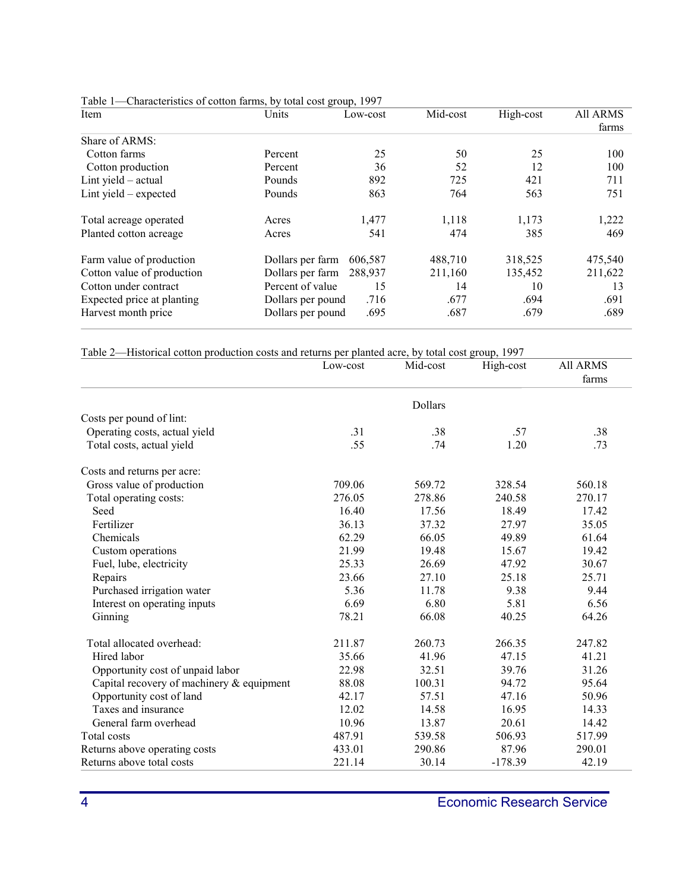| Item                       | Units             | Low-cost | Mid-cost | High-cost | <b>All ARMS</b> |
|----------------------------|-------------------|----------|----------|-----------|-----------------|
|                            |                   |          |          |           | farms           |
| Share of ARMS:             |                   |          |          |           |                 |
| Cotton farms               | Percent           | 25       | 50       | 25        | 100             |
| Cotton production          | Percent           | 36       | 52       | 12        | 100             |
| Lint yield $-$ actual      | Pounds            | 892      | 725      | 421       | 711             |
| Lint yield $-$ expected    | Pounds            | 863      | 764      | 563       | 751             |
| Total acreage operated     | Acres             | 1,477    | 1,118    | 1,173     | 1,222           |
| Planted cotton acreage     | Acres             | 541      | 474      | 385       | 469             |
| Farm value of production   | Dollars per farm  | 606.587  | 488,710  | 318,525   | 475,540         |
| Cotton value of production | Dollars per farm  | 288.937  | 211,160  | 135,452   | 211,622         |
| Cotton under contract      | Percent of value  | 15       | 14       | 10        | 13              |
| Expected price at planting | Dollars per pound | .716     | .677     | .694      | .691            |
| Harvest month price        | Dollars per pound | .695     | .687     | .679      | .689            |

<span id="page-3-0"></span>Table 1—Characteristics of cotton farms, by total cost group, 1997

|  |  |  | Table 2—Historical cotton production costs and returns per planted acre, by total cost group, 1997 |  |  |
|--|--|--|----------------------------------------------------------------------------------------------------|--|--|
|  |  |  |                                                                                                    |  |  |

|                                           | Low-cost | Mid-cost | High-cost | <b>All ARMS</b><br>farms |
|-------------------------------------------|----------|----------|-----------|--------------------------|
|                                           |          | Dollars  |           |                          |
| Costs per pound of lint:                  |          |          |           |                          |
| Operating costs, actual yield             | .31      | .38      | .57       | .38                      |
| Total costs, actual yield                 | .55      | .74      | 1.20      | .73                      |
| Costs and returns per acre:               |          |          |           |                          |
| Gross value of production                 | 709.06   | 569.72   | 328.54    | 560.18                   |
| Total operating costs:                    | 276.05   | 278.86   | 240.58    | 270.17                   |
| Seed                                      | 16.40    | 17.56    | 18.49     | 17.42                    |
| Fertilizer                                | 36.13    | 37.32    | 27.97     | 35.05                    |
| Chemicals                                 | 62.29    | 66.05    | 49.89     | 61.64                    |
| Custom operations                         | 21.99    | 19.48    | 15.67     | 19.42                    |
| Fuel, lube, electricity                   | 25.33    | 26.69    | 47.92     | 30.67                    |
| Repairs                                   | 23.66    | 27.10    | 25.18     | 25.71                    |
| Purchased irrigation water                | 5.36     | 11.78    | 9.38      | 9.44                     |
| Interest on operating inputs              | 6.69     | 6.80     | 5.81      | 6.56                     |
| Ginning                                   | 78.21    | 66.08    | 40.25     | 64.26                    |
| Total allocated overhead:                 | 211.87   | 260.73   | 266.35    | 247.82                   |
| Hired labor                               | 35.66    | 41.96    | 47.15     | 41.21                    |
| Opportunity cost of unpaid labor          | 22.98    | 32.51    | 39.76     | 31.26                    |
| Capital recovery of machinery & equipment | 88.08    | 100.31   | 94.72     | 95.64                    |
| Opportunity cost of land                  | 42.17    | 57.51    | 47.16     | 50.96                    |
| Taxes and insurance                       | 12.02    | 14.58    | 16.95     | 14.33                    |
| General farm overhead                     | 10.96    | 13.87    | 20.61     | 14.42                    |
| Total costs                               | 487.91   | 539.58   | 506.93    | 517.99                   |
| Returns above operating costs             | 433.01   | 290.86   | 87.96     | 290.01                   |
| Returns above total costs                 | 221.14   | 30.14    | $-178.39$ | 42.19                    |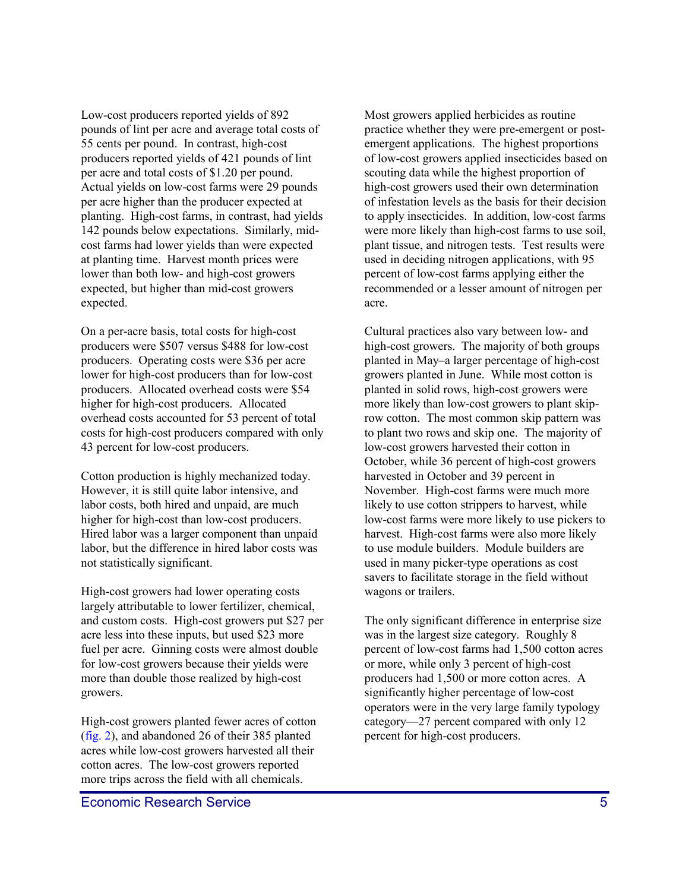Low-cost producers reported yields of 892 pounds of lint per acre and average total costs of 55 cents per pound. In contrast, high-cost producers reported yields of 421 pounds of lint per acre and total costs of \$1.20 per pound. Actual yields on low-cost farms were 29 pounds per acre higher than the producer expected at planting. High-cost farms, in contrast, had yields 142 pounds below expectations. Similarly, midcost farms had lower yields than were expected at planting time. Harvest month prices were lower than both low- and high-cost growers expected, but higher than mid-cost growers expected.

On a per-acre basis, total costs for high-cost producers were \$507 versus \$488 for low-cost producers. Operating costs were \$36 per acre lower for high-cost producers than for low-cost producers. Allocated overhead costs were \$54 higher for high-cost producers. Allocated overhead costs accounted for 53 percent of total costs for high-cost producers compared with only 43 percent for low-cost producers.

Cotton production is highly mechanized today. However, it is still quite labor intensive, and labor costs, both hired and unpaid, are much higher for high-cost than low-cost producers. Hired labor was a larger component than unpaid labor, but the difference in hired labor costs was not statistically significant.

High-cost growers had lower operating costs largely attributable to lower fertilizer, chemical, and custom costs. High-cost growers put \$27 per acre less into these inputs, but used \$23 more fuel per acre. Ginning costs were almost double for low-cost growers because their yields were more than double those realized by high-cost growers.

High-cost growers planted fewer acres of cotton [\(fig. 2\),](#page-5-0) and abandoned 26 of their 385 planted acres while low-cost growers harvested all their cotton acres. The low-cost growers reported more trips across the field with all chemicals.

Most growers applied herbicides as routine practice whether they were pre-emergent or postemergent applications. The highest proportions of low-cost growers applied insecticides based on scouting data while the highest proportion of high-cost growers used their own determination of infestation levels as the basis for their decision to apply insecticides. In addition, low-cost farms were more likely than high-cost farms to use soil, plant tissue, and nitrogen tests. Test results were used in deciding nitrogen applications, with 95 percent of low-cost farms applying either the recommended or a lesser amount of nitrogen per acre.

Cultural practices also vary between low- and high-cost growers. The majority of both groups planted in May–a larger percentage of high-cost growers planted in June. While most cotton is planted in solid rows, high-cost growers were more likely than low-cost growers to plant skiprow cotton. The most common skip pattern was to plant two rows and skip one. The majority of low-cost growers harvested their cotton in October, while 36 percent of high-cost growers harvested in October and 39 percent in November. High-cost farms were much more likely to use cotton strippers to harvest, while low-cost farms were more likely to use pickers to harvest. High-cost farms were also more likely to use module builders. Module builders are used in many picker-type operations as cost savers to facilitate storage in the field without wagons or trailers.

The only significant difference in enterprise size was in the largest size category. Roughly 8 percent of low-cost farms had 1,500 cotton acres or more, while only 3 percent of high-cost producers had 1,500 or more cotton acres. A significantly higher percentage of low-cost operators were in the very large family typology category—27 percent compared with only 12 percent for high-cost producers.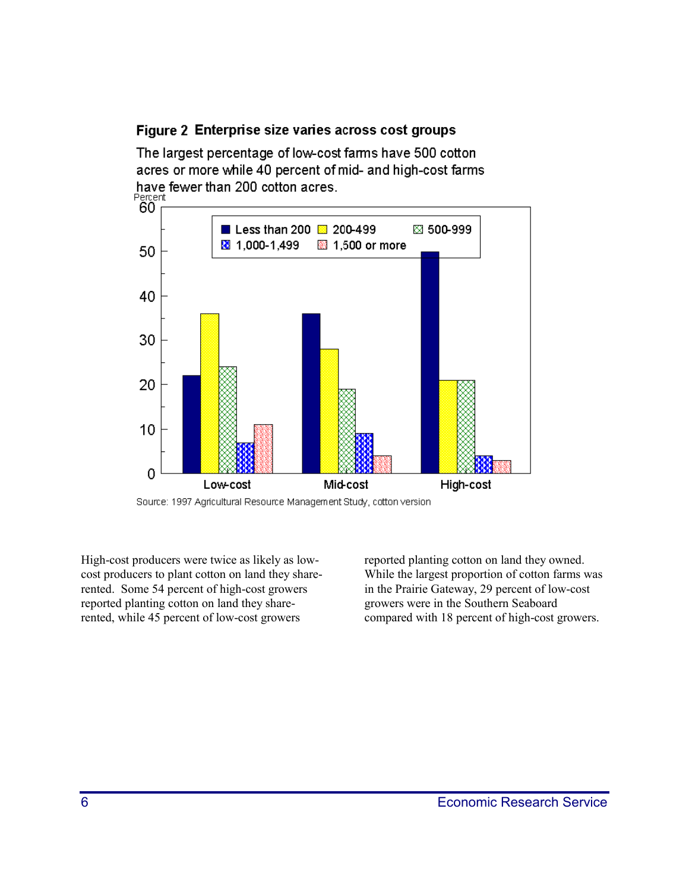### <span id="page-5-0"></span>Figure 2 Enterprise size varies across cost groups

The largest percentage of low-cost farms have 500 cotton acres or more while 40 percent of mid- and high-cost farms have fewer than 200 cotton acres.





High-cost producers were twice as likely as lowcost producers to plant cotton on land they sharerented. Some 54 percent of high-cost growers reported planting cotton on land they sharerented, while 45 percent of low-cost growers

reported planting cotton on land they owned. While the largest proportion of cotton farms was in the Prairie Gateway, 29 percent of low-cost growers were in the Southern Seaboard compared with 18 percent of high-cost growers.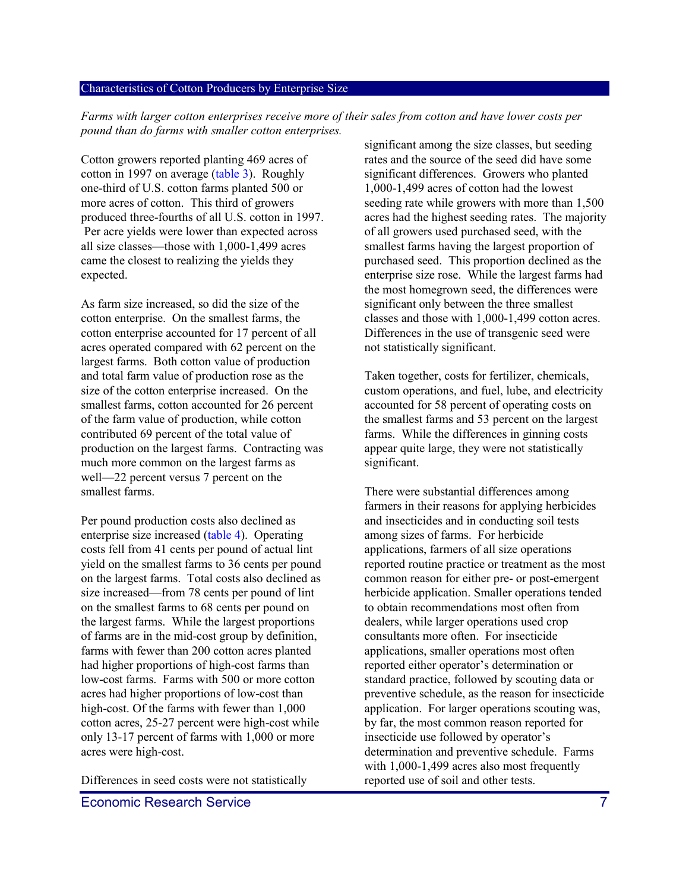#### Characteristics of Cotton Producers by Enterprise Size

*Farms with larger cotton enterprises receive more of their sales from cotton and have lower costs per pound than do farms with smaller cotton enterprises.*

Cotton growers reported planting 469 acres of cotton in 1997 on average [\(table 3\).](#page-7-0) Roughly one-third of U.S. cotton farms planted 500 or more acres of cotton. This third of growers produced three-fourths of all U.S. cotton in 1997. Per acre yields were lower than expected across all size classes—those with 1,000-1,499 acres came the closest to realizing the yields they expected.

As farm size increased, so did the size of the cotton enterprise. On the smallest farms, the cotton enterprise accounted for 17 percent of all acres operated compared with 62 percent on the largest farms. Both cotton value of production and total farm value of production rose as the size of the cotton enterprise increased. On the smallest farms, cotton accounted for 26 percent of the farm value of production, while cotton contributed 69 percent of the total value of production on the largest farms. Contracting was much more common on the largest farms as well—22 percent versus 7 percent on the smallest farms.

Per pound production costs also declined as enterprise size increase[d \(table 4\).](#page-7-1) Operating costs fell from 41 cents per pound of actual lint yield on the smallest farms to 36 cents per pound on the largest farms. Total costs also declined as size increased—from 78 cents per pound of lint on the smallest farms to 68 cents per pound on the largest farms. While the largest proportions of farms are in the mid-cost group by definition, farms with fewer than 200 cotton acres planted had higher proportions of high-cost farms than low-cost farms. Farms with 500 or more cotton acres had higher proportions of low-cost than high-cost. Of the farms with fewer than 1,000 cotton acres, 25-27 percent were high-cost while only 13-17 percent of farms with 1,000 or more acres were high-cost.

Differences in seed costs were not statistically

significant among the size classes, but seeding rates and the source of the seed did have some significant differences. Growers who planted 1,000-1,499 acres of cotton had the lowest seeding rate while growers with more than 1,500 acres had the highest seeding rates. The majority of all growers used purchased seed, with the smallest farms having the largest proportion of purchased seed. This proportion declined as the enterprise size rose. While the largest farms had the most homegrown seed, the differences were significant only between the three smallest classes and those with 1,000-1,499 cotton acres. Differences in the use of transgenic seed were not statistically significant.

Taken together, costs for fertilizer, chemicals, custom operations, and fuel, lube, and electricity accounted for 58 percent of operating costs on the smallest farms and 53 percent on the largest farms. While the differences in ginning costs appear quite large, they were not statistically significant.

There were substantial differences among farmers in their reasons for applying herbicides and insecticides and in conducting soil tests among sizes of farms. For herbicide applications, farmers of all size operations reported routine practice or treatment as the most common reason for either pre- or post-emergent herbicide application. Smaller operations tended to obtain recommendations most often from dealers, while larger operations used crop consultants more often. For insecticide applications, smaller operations most often reported either operator's determination or standard practice, followed by scouting data or preventive schedule, as the reason for insecticide application. For larger operations scouting was, by far, the most common reason reported for insecticide use followed by operator's determination and preventive schedule. Farms with 1,000-1,499 acres also most frequently reported use of soil and other tests.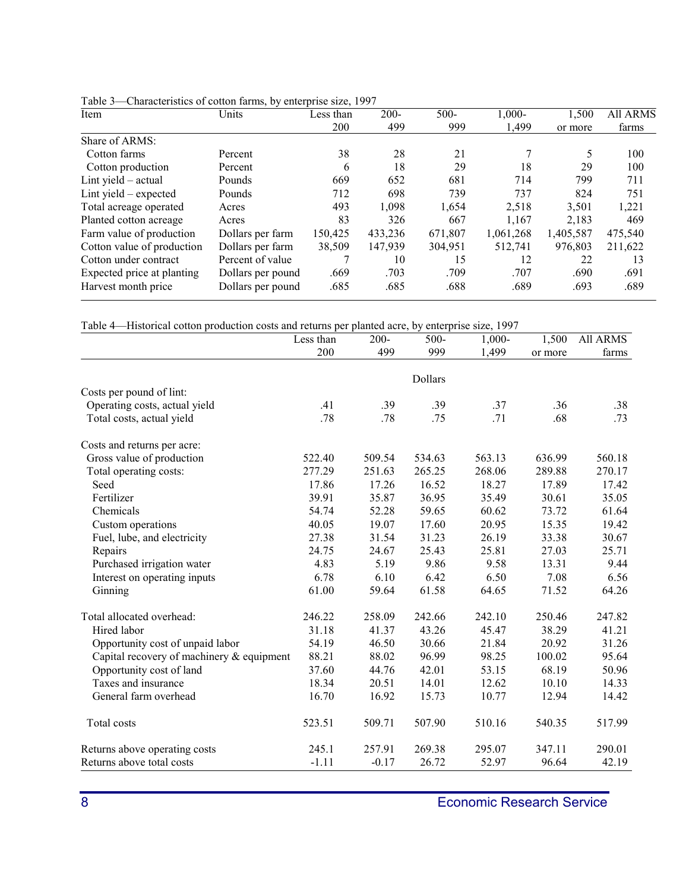| Item                       | Units             | Less than | $200 -$ | $500 -$ | $1,000 -$ | 1,500     | <b>All ARMS</b> |
|----------------------------|-------------------|-----------|---------|---------|-----------|-----------|-----------------|
|                            |                   | 200       | 499     | 999     | 1,499     | or more   | farms           |
| Share of ARMS:             |                   |           |         |         |           |           |                 |
| Cotton farms               | Percent           | 38        | 28      | 21      | 7         | 5         | 100             |
| Cotton production          | Percent           | 6         | 18      | 29      | 18        | 29        | 100             |
| Lint yield $-$ actual      | Pounds            | 669       | 652     | 681     | 714       | 799       | 711             |
| Lint yield – expected      | Pounds            | 712       | 698     | 739     | 737       | 824       | 751             |
| Total acreage operated     | Acres             | 493       | 1,098   | 1,654   | 2,518     | 3,501     | 1,221           |
| Planted cotton acreage     | Acres             | 83        | 326     | 667     | 1.167     | 2.183     | 469             |
| Farm value of production   | Dollars per farm  | 150,425   | 433,236 | 671,807 | 1,061,268 | 1,405,587 | 475,540         |
| Cotton value of production | Dollars per farm  | 38,509    | 147.939 | 304,951 | 512.741   | 976.803   | 211,622         |
| Cotton under contract      | Percent of value  |           | 10      | 15      | 12        | 22        | 13              |
| Expected price at planting | Dollars per pound | .669      | .703    | .709    | .707      | .690      | .691            |
| Harvest month price        | Dollars per pound | .685      | .685    | .688    | .689      | .693      | .689            |

<span id="page-7-0"></span>Table 3—Characteristics of cotton farms, by enterprise size, 1997

<span id="page-7-1"></span>Table 4—Historical cotton production costs and returns per planted acre, by enterprise size, 1997

|                                           | Less than | 200-    | 500-    | 1,000- | 1,500   | All ARMS |
|-------------------------------------------|-----------|---------|---------|--------|---------|----------|
|                                           | 200       | 499     | 999     | 1,499  | or more | farms    |
|                                           |           |         |         |        |         |          |
|                                           |           |         | Dollars |        |         |          |
| Costs per pound of lint:                  |           |         |         |        |         |          |
| Operating costs, actual yield             | .41       | .39     | .39     | .37    | .36     | .38      |
| Total costs, actual yield                 | .78       | .78     | .75     | .71    | .68     | .73      |
| Costs and returns per acre:               |           |         |         |        |         |          |
| Gross value of production                 | 522.40    | 509.54  | 534.63  | 563.13 | 636.99  | 560.18   |
| Total operating costs:                    | 277.29    | 251.63  | 265.25  | 268.06 | 289.88  | 270.17   |
| Seed                                      | 17.86     | 17.26   | 16.52   | 18.27  | 17.89   | 17.42    |
| Fertilizer                                | 39.91     | 35.87   | 36.95   | 35.49  | 30.61   | 35.05    |
| Chemicals                                 | 54.74     | 52.28   | 59.65   | 60.62  | 73.72   | 61.64    |
| Custom operations                         | 40.05     | 19.07   | 17.60   | 20.95  | 15.35   | 19.42    |
| Fuel, lube, and electricity               | 27.38     | 31.54   | 31.23   | 26.19  | 33.38   | 30.67    |
| Repairs                                   | 24.75     | 24.67   | 25.43   | 25.81  | 27.03   | 25.71    |
| Purchased irrigation water                | 4.83      | 5.19    | 9.86    | 9.58   | 13.31   | 9.44     |
| Interest on operating inputs              | 6.78      | 6.10    | 6.42    | 6.50   | 7.08    | 6.56     |
| Ginning                                   | 61.00     | 59.64   | 61.58   | 64.65  | 71.52   | 64.26    |
| Total allocated overhead:                 | 246.22    | 258.09  | 242.66  | 242.10 | 250.46  | 247.82   |
| Hired labor                               | 31.18     | 41.37   | 43.26   | 45.47  | 38.29   | 41.21    |
| Opportunity cost of unpaid labor          | 54.19     | 46.50   | 30.66   | 21.84  | 20.92   | 31.26    |
| Capital recovery of machinery & equipment | 88.21     | 88.02   | 96.99   | 98.25  | 100.02  | 95.64    |
| Opportunity cost of land                  | 37.60     | 44.76   | 42.01   | 53.15  | 68.19   | 50.96    |
| Taxes and insurance                       | 18.34     | 20.51   | 14.01   | 12.62  | 10.10   | 14.33    |
| General farm overhead                     | 16.70     | 16.92   | 15.73   | 10.77  | 12.94   | 14.42    |
| Total costs                               | 523.51    | 509.71  | 507.90  | 510.16 | 540.35  | 517.99   |
| Returns above operating costs             | 245.1     | 257.91  | 269.38  | 295.07 | 347.11  | 290.01   |
| Returns above total costs                 | $-1.11$   | $-0.17$ | 26.72   | 52.97  | 96.64   | 42.19    |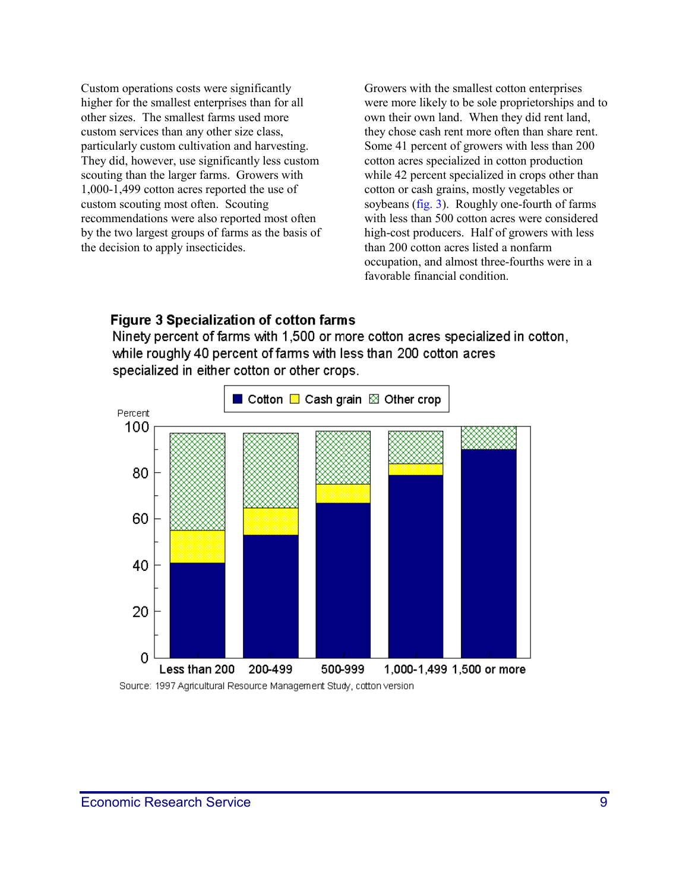Custom operations costs were significantly higher for the smallest enterprises than for all other sizes. The smallest farms used more custom services than any other size class, particularly custom cultivation and harvesting. They did, however, use significantly less custom scouting than the larger farms. Growers with 1,000-1,499 cotton acres reported the use of custom scouting most often. Scouting recommendations were also reported most often by the two largest groups of farms as the basis of the decision to apply insecticides.

Growers with the smallest cotton enterprises were more likely to be sole proprietorships and to own their own land. When they did rent land, they chose cash rent more often than share rent. Some 41 percent of growers with less than 200 cotton acres specialized in cotton production while 42 percent specialized in crops other than cotton or cash grains, mostly vegetables or soybeans [\(fig. 3\).](#page-8-0) Roughly one-fourth of farms with less than 500 cotton acres were considered high-cost producers. Half of growers with less than 200 cotton acres listed a nonfarm occupation, and almost three-fourths were in a favorable financial condition.

#### <span id="page-8-0"></span>**Figure 3 Specialization of cotton farms**

Ninety percent of farms with 1,500 or more cotton acres specialized in cotton, while roughly 40 percent of farms with less than 200 cotton acres specialized in either cotton or other crops.



Source: 1997 Agricultural Resource Management Study, cotton version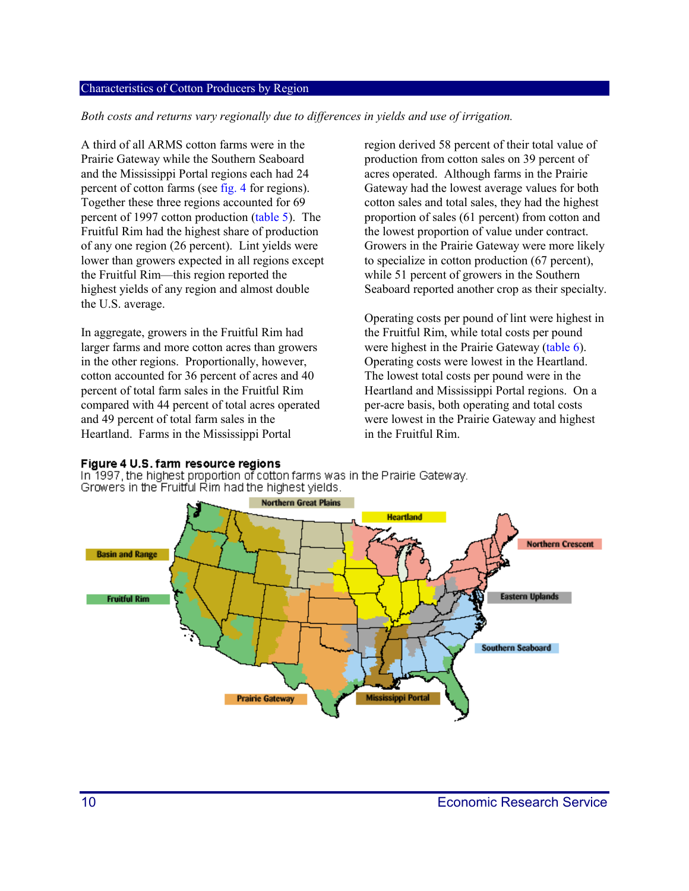#### Characteristics of Cotton Producers by Region

*Both costs and returns vary regionally due to differences in yields and use of irrigation.*

A third of all ARMS cotton farms were in the Prairie Gateway while the Southern Seaboard and the Mississippi Portal regions each had 24 percent of cotton farms (se[e fig. 4 fo](#page-9-0)r regions). Together these three regions accounted for 69 percent of 1997 cotton production [\(table 5\).](#page-10-0) The Fruitful Rim had the highest share of production of any one region (26 percent). Lint yields were lower than growers expected in all regions except the Fruitful Rim—this region reported the highest yields of any region and almost double the U.S. average.

In aggregate, growers in the Fruitful Rim had larger farms and more cotton acres than growers in the other regions. Proportionally, however, cotton accounted for 36 percent of acres and 40 percent of total farm sales in the Fruitful Rim compared with 44 percent of total acres operated and 49 percent of total farm sales in the Heartland. Farms in the Mississippi Portal

region derived 58 percent of their total value of production from cotton sales on 39 percent of acres operated. Although farms in the Prairie Gateway had the lowest average values for both cotton sales and total sales, they had the highest proportion of sales (61 percent) from cotton and the lowest proportion of value under contract. Growers in the Prairie Gateway were more likely to specialize in cotton production (67 percent), while 51 percent of growers in the Southern Seaboard reported another crop as their specialty.

Operating costs per pound of lint were highest in the Fruitful Rim, while total costs per pound were highest in the Prairie Gatewa[y \(table 6\).](#page-10-1)  Operating costs were lowest in the Heartland. The lowest total costs per pound were in the Heartland and Mississippi Portal regions. On a per-acre basis, both operating and total costs were lowest in the Prairie Gateway and highest in the Fruitful Rim.

#### <span id="page-9-0"></span>Figure 4 U.S. farm resource regions

In 1997, the highest proportion of cotton farms was in the Prairie Gateway. Growers in the Fruitful Rim had the highest yields.

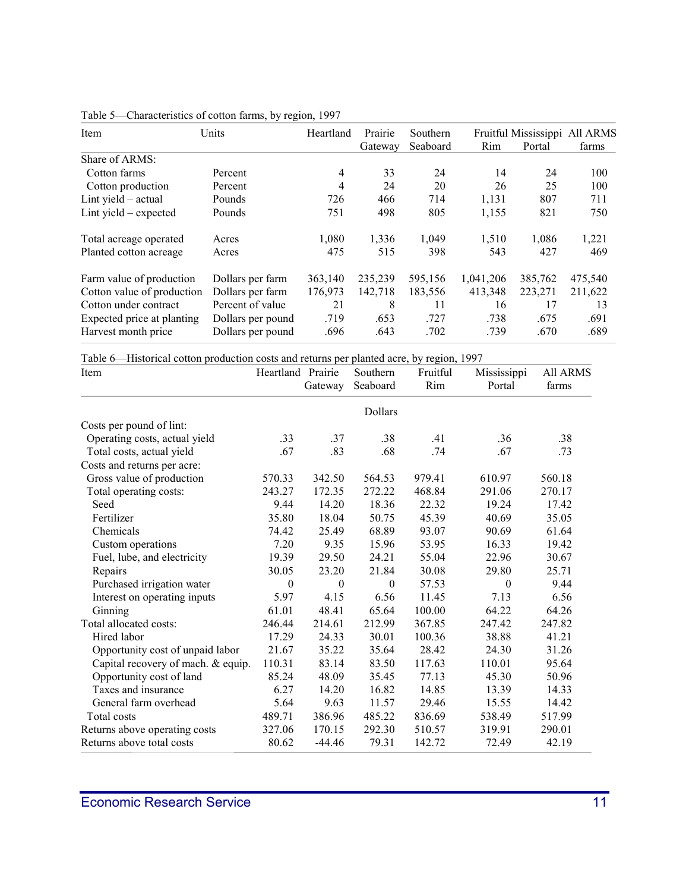| Item                       | Units             | Heartland | Prairie | Southern |           |         | Fruitful Mississippi All ARMS |
|----------------------------|-------------------|-----------|---------|----------|-----------|---------|-------------------------------|
|                            |                   |           | Gateway | Seaboard | Rim       | Portal  | farms                         |
| Share of ARMS:             |                   |           |         |          |           |         |                               |
| Cotton farms               | Percent           | 4         | 33      | 24       | 14        | 24      | 100                           |
| Cotton production          | Percent           | 4         | 24      | 20       | 26        | 25      | 100                           |
| Lint yield $-$ actual      | Pounds            | 726       | 466     | 714      | 1,131     | 807     | 711                           |
| Lint yield – expected      | Pounds            | 751       | 498     | 805      | 1,155     | 821     | 750                           |
| Total acreage operated     | Acres             | 1,080     | 1,336   | 1,049    | 1,510     | 1,086   | 1,221                         |
| Planted cotton acreage     | Acres             | 475       | 515     | 398      | 543       | 427     | 469                           |
| Farm value of production   | Dollars per farm  | 363,140   | 235,239 | 595,156  | 1,041,206 | 385,762 | 475,540                       |
| Cotton value of production | Dollars per farm  | 176,973   | 142,718 | 183,556  | 413,348   | 223,271 | 211,622                       |
| Cotton under contract      | Percent of value  | 21        | 8       | 11       | 16        | 17      | 13                            |
| Expected price at planting | Dollars per pound | .719      | .653    | .727     | .738      | .675    | .691                          |
| Harvest month price        | Dollars per pound | .696      | .643    | .702     | .739      | .670    | .689                          |

<span id="page-10-0"></span>

| Table 5—Characteristics of cotton farms, by region, 1997 |  |  |
|----------------------------------------------------------|--|--|
|                                                          |  |  |

<span id="page-10-1"></span>Table 6—Historical cotton production costs and returns per planted acre, by region, 1997

| Item                               | Heartland Prairie | Gateway          | Southern<br>Seaboard | Fruitful<br>Rim | Mississippi<br>Portal | <b>All ARMS</b><br>farms |
|------------------------------------|-------------------|------------------|----------------------|-----------------|-----------------------|--------------------------|
|                                    |                   |                  | Dollars              |                 |                       |                          |
| Costs per pound of lint:           |                   |                  |                      |                 |                       |                          |
| Operating costs, actual yield      | .33               | .37              | .38                  | .41             | .36                   | .38                      |
| Total costs, actual yield          | .67               | .83              | .68                  | .74             | .67                   | .73                      |
| Costs and returns per acre:        |                   |                  |                      |                 |                       |                          |
| Gross value of production          | 570.33            | 342.50           | 564.53               | 979.41          | 610.97                | 560.18                   |
| Total operating costs:             | 243.27            | 172.35           | 272.22               | 468.84          | 291.06                | 270.17                   |
| Seed                               | 9.44              | 14.20            | 18.36                | 22.32           | 19.24                 | 17.42                    |
| Fertilizer                         | 35.80             | 18.04            | 50.75                | 45.39           | 40.69                 | 35.05                    |
| Chemicals                          | 74.42             | 25.49            | 68.89                | 93.07           | 90.69                 | 61.64                    |
| Custom operations                  | 7.20              | 9.35             | 15.96                | 53.95           | 16.33                 | 19.42                    |
| Fuel, lube, and electricity        | 19.39             | 29.50            | 24.21                | 55.04           | 22.96                 | 30.67                    |
| Repairs                            | 30.05             | 23.20            | 21.84                | 30.08           | 29.80                 | 25.71                    |
| Purchased irrigation water         | $\mathbf{0}$      | $\boldsymbol{0}$ | $\theta$             | 57.53           | $\theta$              | 9.44                     |
| Interest on operating inputs       | 5.97              | 4.15             | 6.56                 | 11.45           | 7.13                  | 6.56                     |
| Ginning                            | 61.01             | 48.41            | 65.64                | 100.00          | 64.22                 | 64.26                    |
| Total allocated costs:             | 246.44            | 214.61           | 212.99               | 367.85          | 247.42                | 247.82                   |
| Hired labor                        | 17.29             | 24.33            | 30.01                | 100.36          | 38.88                 | 41.21                    |
| Opportunity cost of unpaid labor   | 21.67             | 35.22            | 35.64                | 28.42           | 24.30                 | 31.26                    |
| Capital recovery of mach. & equip. | 110.31            | 83.14            | 83.50                | 117.63          | 110.01                | 95.64                    |
| Opportunity cost of land           | 85.24             | 48.09            | 35.45                | 77.13           | 45.30                 | 50.96                    |
| Taxes and insurance                | 6.27              | 14.20            | 16.82                | 14.85           | 13.39                 | 14.33                    |
| General farm overhead              | 5.64              | 9.63             | 11.57                | 29.46           | 15.55                 | 14.42                    |
| Total costs                        | 489.71            | 386.96           | 485.22               | 836.69          | 538.49                | 517.99                   |
| Returns above operating costs      | 327.06            | 170.15           | 292.30               | 510.57          | 319.91                | 290.01                   |
| Returns above total costs          | 80.62             | $-44.46$         | 79.31                | 142.72          | 72.49                 | 42.19                    |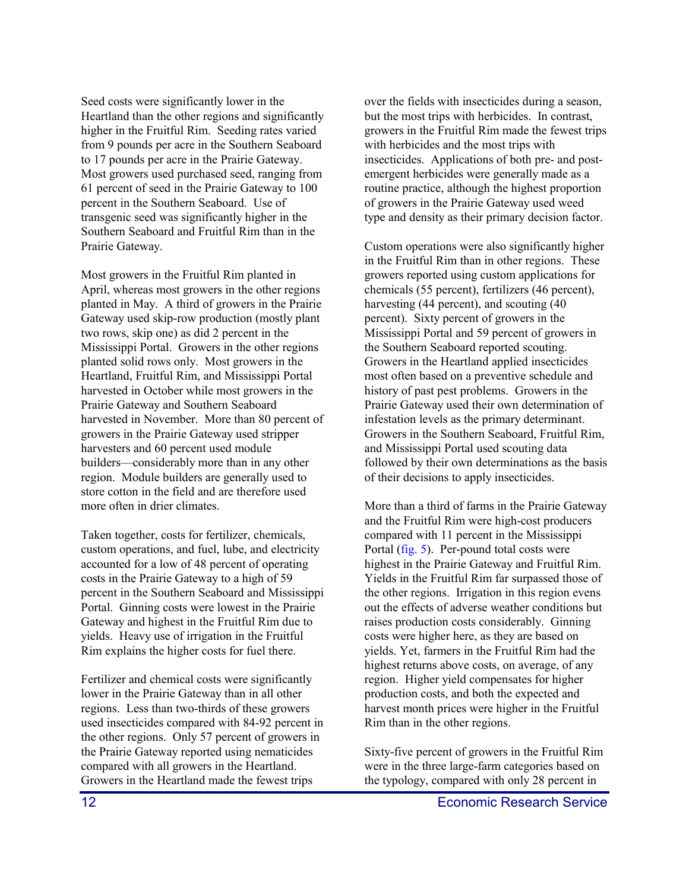Seed costs were significantly lower in the Heartland than the other regions and significantly higher in the Fruitful Rim. Seeding rates varied from 9 pounds per acre in the Southern Seaboard to 17 pounds per acre in the Prairie Gateway. Most growers used purchased seed, ranging from 61 percent of seed in the Prairie Gateway to 100 percent in the Southern Seaboard. Use of transgenic seed was significantly higher in the Southern Seaboard and Fruitful Rim than in the Prairie Gateway.

Most growers in the Fruitful Rim planted in April, whereas most growers in the other regions planted in May. A third of growers in the Prairie Gateway used skip-row production (mostly plant two rows, skip one) as did 2 percent in the Mississippi Portal. Growers in the other regions planted solid rows only. Most growers in the Heartland, Fruitful Rim, and Mississippi Portal harvested in October while most growers in the Prairie Gateway and Southern Seaboard harvested in November. More than 80 percent of growers in the Prairie Gateway used stripper harvesters and 60 percent used module builders—considerably more than in any other region. Module builders are generally used to store cotton in the field and are therefore used more often in drier climates.

Taken together, costs for fertilizer, chemicals, custom operations, and fuel, lube, and electricity accounted for a low of 48 percent of operating costs in the Prairie Gateway to a high of 59 percent in the Southern Seaboard and Mississippi Portal. Ginning costs were lowest in the Prairie Gateway and highest in the Fruitful Rim due to yields. Heavy use of irrigation in the Fruitful Rim explains the higher costs for fuel there.

Fertilizer and chemical costs were significantly lower in the Prairie Gateway than in all other regions. Less than two-thirds of these growers used insecticides compared with 84-92 percent in the other regions. Only 57 percent of growers in the Prairie Gateway reported using nematicides compared with all growers in the Heartland. Growers in the Heartland made the fewest trips

over the fields with insecticides during a season, but the most trips with herbicides. In contrast, growers in the Fruitful Rim made the fewest trips with herbicides and the most trips with insecticides. Applications of both pre- and postemergent herbicides were generally made as a routine practice, although the highest proportion of growers in the Prairie Gateway used weed type and density as their primary decision factor.

Custom operations were also significantly higher in the Fruitful Rim than in other regions. These growers reported using custom applications for chemicals (55 percent), fertilizers (46 percent), harvesting (44 percent), and scouting (40 percent). Sixty percent of growers in the Mississippi Portal and 59 percent of growers in the Southern Seaboard reported scouting. Growers in the Heartland applied insecticides most often based on a preventive schedule and history of past pest problems. Growers in the Prairie Gateway used their own determination of infestation levels as the primary determinant. Growers in the Southern Seaboard, Fruitful Rim, and Mississippi Portal used scouting data followed by their own determinations as the basis of their decisions to apply insecticides.

More than a third of farms in the Prairie Gateway and the Fruitful Rim were high-cost producers compared with 11 percent in the Mississippi Portal [\(fig. 5\).](#page-12-0) Per-pound total costs were highest in the Prairie Gateway and Fruitful Rim. Yields in the Fruitful Rim far surpassed those of the other regions. Irrigation in this region evens out the effects of adverse weather conditions but raises production costs considerably. Ginning costs were higher here, as they are based on yields. Yet, farmers in the Fruitful Rim had the highest returns above costs, on average, of any region. Higher yield compensates for higher production costs, and both the expected and harvest month prices were higher in the Fruitful Rim than in the other regions.

Sixty-five percent of growers in the Fruitful Rim were in the three large-farm categories based on the typology, compared with only 28 percent in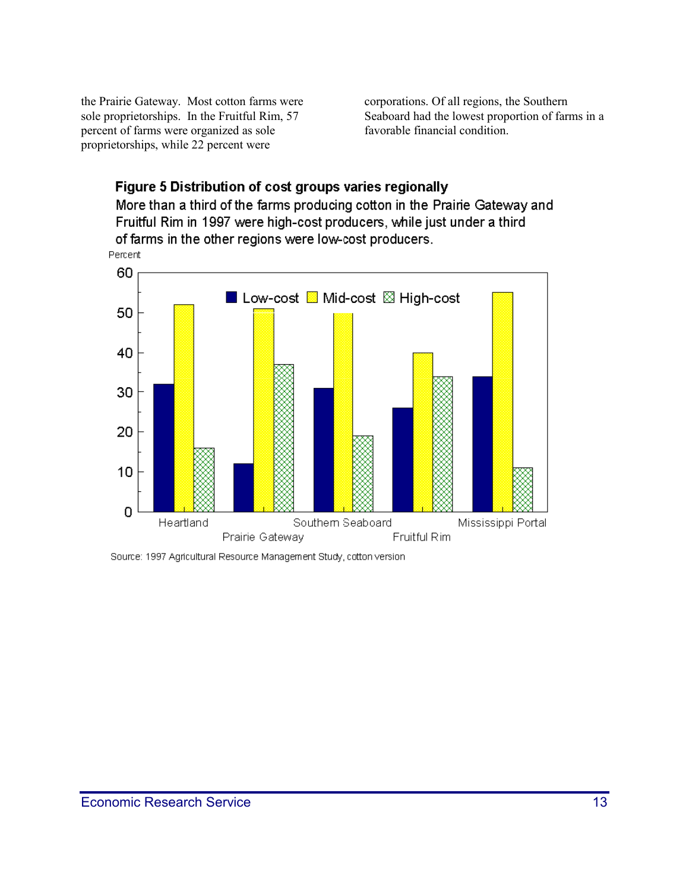the Prairie Gateway. Most cotton farms were sole proprietorships. In the Fruitful Rim, 57 percent of farms were organized as sole proprietorships, while 22 percent were

corporations. Of all regions, the Southern Seaboard had the lowest proportion of farms in a favorable financial condition.

### <span id="page-12-0"></span>Figure 5 Distribution of cost groups varies regionally

More than a third of the farms producing cotton in the Prairie Gateway and Fruitful Rim in 1997 were high-cost producers, while just under a third of farms in the other regions were low-cost producers.



Source: 1997 Agricultural Resource Management Study, cotton version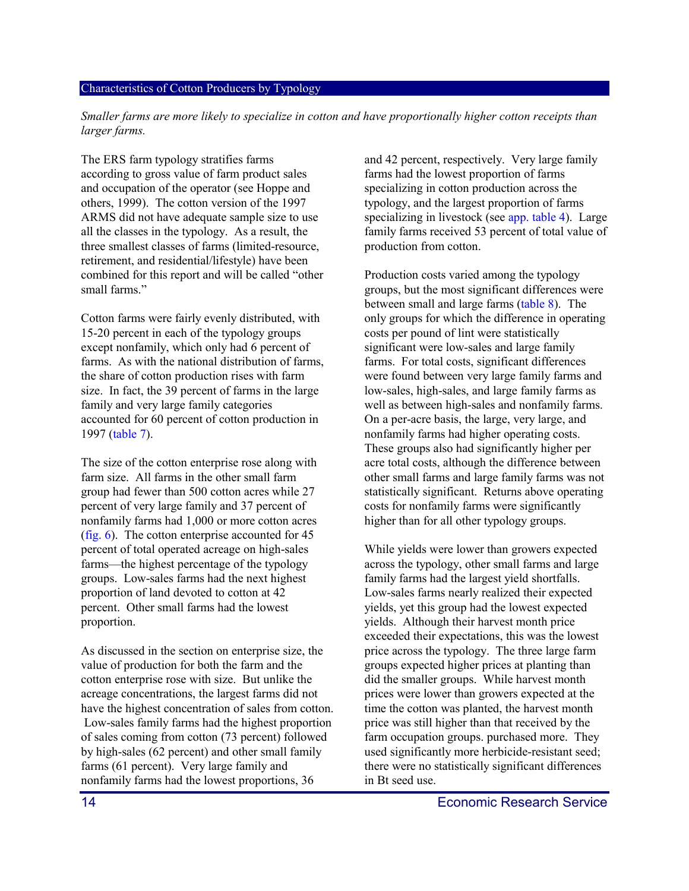#### Characteristics of Cotton Producers by Typology

*Smaller farms are more likely to specialize in cotton and have proportionally higher cotton receipts than larger farms.*

The ERS farm typology stratifies farms according to gross value of farm product sales and occupation of the operator (see Hoppe and others, 1999). The cotton version of the 1997 ARMS did not have adequate sample size to use all the classes in the typology. As a result, the three smallest classes of farms (limited-resource, retirement, and residential/lifestyle) have been combined for this report and will be called "other small farms."

Cotton farms were fairly evenly distributed, with 15-20 percent in each of the typology groups except nonfamily, which only had 6 percent of farms. As with the national distribution of farms, the share of cotton production rises with farm size. In fact, the 39 percent of farms in the large family and very large family categories accounted for 60 percent of cotton production in 1997 [\(table 7\).](#page-14-0)

The size of the cotton enterprise rose along with farm size. All farms in the other small farm group had fewer than 500 cotton acres while 27 percent of very large family and 37 percent of nonfamily farms had 1,000 or more cotton acres [\(fig. 6\).](#page-15-0) The cotton enterprise accounted for 45 percent of total operated acreage on high-sales farms—the highest percentage of the typology groups. Low-sales farms had the next highest proportion of land devoted to cotton at 42 percent. Other small farms had the lowest proportion.

As discussed in the section on enterprise size, the value of production for both the farm and the cotton enterprise rose with size. But unlike the acreage concentrations, the largest farms did not have the highest concentration of sales from cotton. Low-sales family farms had the highest proportion of sales coming from cotton (73 percent) followed by high-sales (62 percent) and other small family farms (61 percent). Very large family and nonfamily farms had the lowest proportions, 36

and 42 percent, respectively. Very large family farms had the lowest proportion of farms specializing in cotton production across the typology, and the largest proportion of farms specializing in livestock (se[e app. table 4\)](#page-25-0). Large family farms received 53 percent of total value of production from cotton.

Production costs varied among the typology groups, but the most significant differences were between small and large farms [\(table 8\).](#page-14-0) The only groups for which the difference in operating costs per pound of lint were statistically significant were low-sales and large family farms. For total costs, significant differences were found between very large family farms and low-sales, high-sales, and large family farms as well as between high-sales and nonfamily farms. On a per-acre basis, the large, very large, and nonfamily farms had higher operating costs. These groups also had significantly higher per acre total costs, although the difference between other small farms and large family farms was not statistically significant. Returns above operating costs for nonfamily farms were significantly higher than for all other typology groups.

While yields were lower than growers expected across the typology, other small farms and large family farms had the largest yield shortfalls. Low-sales farms nearly realized their expected yields, yet this group had the lowest expected yields. Although their harvest month price exceeded their expectations, this was the lowest price across the typology. The three large farm groups expected higher prices at planting than did the smaller groups. While harvest month prices were lower than growers expected at the time the cotton was planted, the harvest month price was still higher than that received by the farm occupation groups. purchased more. They used significantly more herbicide-resistant seed; there were no statistically significant differences in Bt seed use.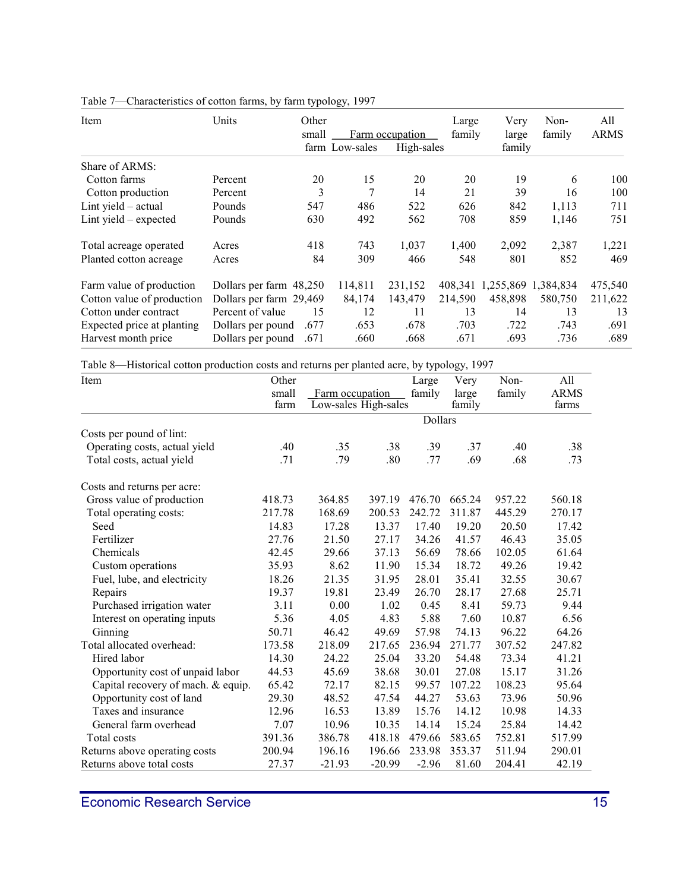| Item                       | Units                   | Other |                |                               | Large   | Very                | Non-    | All         |
|----------------------------|-------------------------|-------|----------------|-------------------------------|---------|---------------------|---------|-------------|
|                            |                         | small | farm Low-sales | Farm occupation<br>High-sales | family  | large<br>family     | family  | <b>ARMS</b> |
| Share of ARMS:             |                         |       |                |                               |         |                     |         |             |
| Cotton farms               | Percent                 | 20    | 15             | 20                            | 20      | 19                  | 6       | 100         |
| Cotton production          | Percent                 | 3     | 7              | 14                            | 21      | 39                  | 16      | 100         |
| Lint yield $-$ actual      | Pounds                  | 547   | 486            | 522                           | 626     | 842                 | 1,113   | 711         |
| Lint yield $-$ expected    | Pounds                  | 630   | 492            | 562                           | 708     | 859                 | 1,146   | 751         |
| Total acreage operated     | Acres                   | 418   | 743            | 1,037                         | 1,400   | 2,092               | 2,387   | 1,221       |
| Planted cotton acreage     | Acres                   | 84    | 309            | 466                           | 548     | 801                 | 852     | 469         |
| Farm value of production   | Dollars per farm 48,250 |       | 114,811        | 231,152                       | 408,341 | 1,255,869 1,384,834 |         | 475,540     |
| Cotton value of production | Dollars per farm 29,469 |       | 84,174         | 143,479                       | 214,590 | 458,898             | 580,750 | 211,622     |
| Cotton under contract      | Percent of value        | 15    | 12             | 11                            | 13      | 14                  | 13      | 13          |
| Expected price at planting | Dollars per pound       | .677  | .653           | .678                          | .703    | .722                | .743    | .691        |
| Harvest month price        | Dollars per pound       | .671  | .660           | .668                          | .671    | .693                | .736    | .689        |

### <span id="page-14-0"></span>Table 7—Characteristics of cotton farms, by farm typology, 1997

Table 8—Historical cotton production costs and returns per planted acre, by typology, 1997

| Item                               | Other         |                                         |          | Large   | Very            | Non-   | All                  |  |
|------------------------------------|---------------|-----------------------------------------|----------|---------|-----------------|--------|----------------------|--|
|                                    | small<br>farm | Farm occupation<br>Low-sales High-sales |          | family  | large<br>family | family | <b>ARMS</b><br>farms |  |
|                                    |               |                                         |          | Dollars |                 |        |                      |  |
| Costs per pound of lint:           |               |                                         |          |         |                 |        |                      |  |
| Operating costs, actual yield      | .40           | .35                                     | .38      | .39     | .37             | .40    | .38                  |  |
| Total costs, actual yield          | .71           | .79                                     | .80      | .77     | .69             | .68    | .73                  |  |
| Costs and returns per acre:        |               |                                         |          |         |                 |        |                      |  |
| Gross value of production          | 418.73        | 364.85                                  | 397.19   | 476.70  | 665.24          | 957.22 | 560.18               |  |
| Total operating costs:             | 217.78        | 168.69                                  | 200.53   | 242.72  | 311.87          | 445.29 | 270.17               |  |
| Seed                               | 14.83         | 17.28                                   | 13.37    | 17.40   | 19.20           | 20.50  | 17.42                |  |
| Fertilizer                         | 27.76         | 21.50                                   | 27.17    | 34.26   | 41.57           | 46.43  | 35.05                |  |
| Chemicals                          | 42.45         | 29.66                                   | 37.13    | 56.69   | 78.66           | 102.05 | 61.64                |  |
| Custom operations                  | 35.93         | 8.62                                    | 11.90    | 15.34   | 18.72           | 49.26  | 19.42                |  |
| Fuel, lube, and electricity        | 18.26         | 21.35                                   | 31.95    | 28.01   | 35.41           | 32.55  | 30.67                |  |
| Repairs                            | 19.37         | 19.81                                   | 23.49    | 26.70   | 28.17           | 27.68  | 25.71                |  |
| Purchased irrigation water         | 3.11          | 0.00                                    | 1.02     | 0.45    | 8.41            | 59.73  | 9.44                 |  |
| Interest on operating inputs       | 5.36          | 4.05                                    | 4.83     | 5.88    | 7.60            | 10.87  | 6.56                 |  |
| Ginning                            | 50.71         | 46.42                                   | 49.69    | 57.98   | 74.13           | 96.22  | 64.26                |  |
| Total allocated overhead:          | 173.58        | 218.09                                  | 217.65   | 236.94  | 271.77          | 307.52 | 247.82               |  |
| Hired labor                        | 14.30         | 24.22                                   | 25.04    | 33.20   | 54.48           | 73.34  | 41.21                |  |
| Opportunity cost of unpaid labor   | 44.53         | 45.69                                   | 38.68    | 30.01   | 27.08           | 15.17  | 31.26                |  |
| Capital recovery of mach. & equip. | 65.42         | 72.17                                   | 82.15    | 99.57   | 107.22          | 108.23 | 95.64                |  |
| Opportunity cost of land           | 29.30         | 48.52                                   | 47.54    | 44.27   | 53.63           | 73.96  | 50.96                |  |
| Taxes and insurance                | 12.96         | 16.53                                   | 13.89    | 15.76   | 14.12           | 10.98  | 14.33                |  |
| General farm overhead              | 7.07          | 10.96                                   | 10.35    | 14.14   | 15.24           | 25.84  | 14.42                |  |
| Total costs                        | 391.36        | 386.78                                  | 418.18   | 479.66  | 583.65          | 752.81 | 517.99               |  |
| Returns above operating costs      | 200.94        | 196.16                                  | 196.66   | 233.98  | 353.37          | 511.94 | 290.01               |  |
| Returns above total costs          | 27.37         | $-21.93$                                | $-20.99$ | $-2.96$ | 81.60           | 204.41 | 42.19                |  |

Economic Research Service 15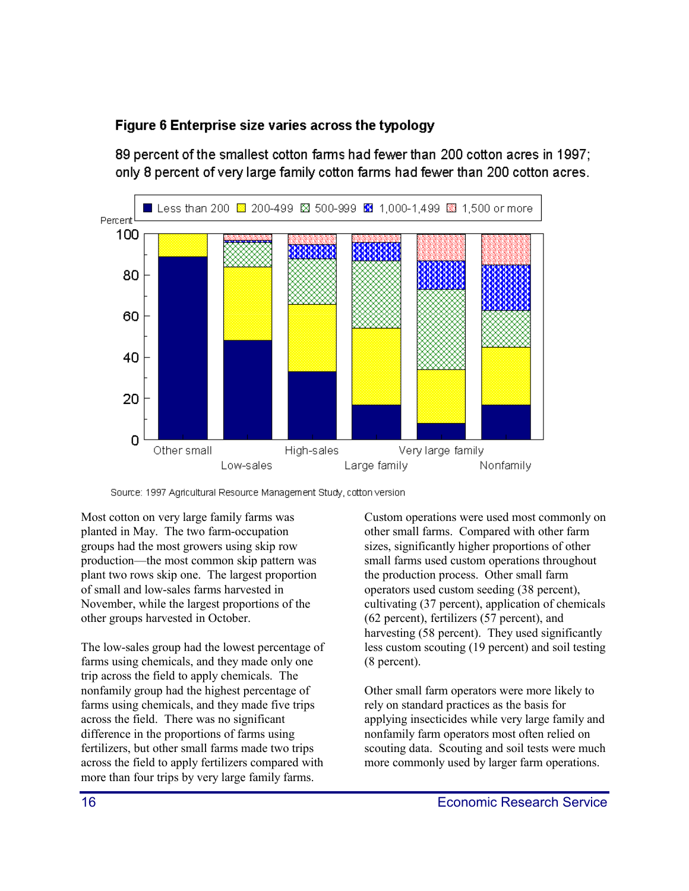### <span id="page-15-0"></span>Figure 6 Enterprise size varies across the typology

89 percent of the smallest cotton farms had fewer than 200 cotton acres in 1997; only 8 percent of very large family cotton farms had fewer than 200 cotton acres.



Source: 1997 Agricultural Resource Management Study, cotton version

Most cotton on very large family farms was planted in May. The two farm-occupation groups had the most growers using skip row production—the most common skip pattern was plant two rows skip one. The largest proportion of small and low-sales farms harvested in November, while the largest proportions of the other groups harvested in October.

The low-sales group had the lowest percentage of farms using chemicals, and they made only one trip across the field to apply chemicals. The nonfamily group had the highest percentage of farms using chemicals, and they made five trips across the field. There was no significant difference in the proportions of farms using fertilizers, but other small farms made two trips across the field to apply fertilizers compared with more than four trips by very large family farms.

Custom operations were used most commonly on other small farms. Compared with other farm sizes, significantly higher proportions of other small farms used custom operations throughout the production process. Other small farm operators used custom seeding (38 percent), cultivating (37 percent), application of chemicals (62 percent), fertilizers (57 percent), and harvesting (58 percent). They used significantly less custom scouting (19 percent) and soil testing (8 percent).

Other small farm operators were more likely to rely on standard practices as the basis for applying insecticides while very large family and nonfamily farm operators most often relied on scouting data. Scouting and soil tests were much more commonly used by larger farm operations.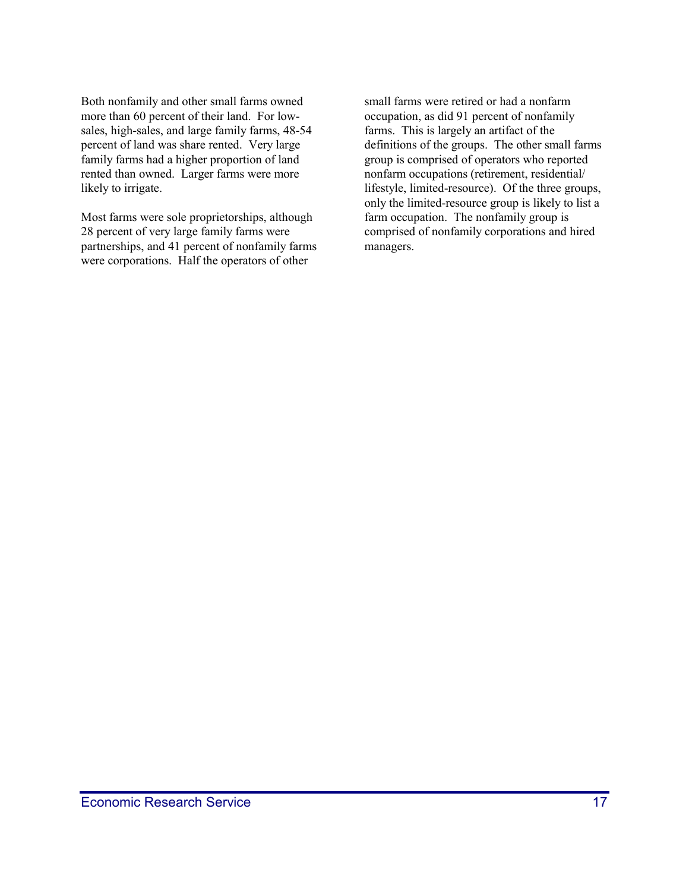Both nonfamily and other small farms owned more than 60 percent of their land. For lowsales, high-sales, and large family farms, 48-54 percent of land was share rented. Very large family farms had a higher proportion of land rented than owned. Larger farms were more likely to irrigate.

Most farms were sole proprietorships, although 28 percent of very large family farms were partnerships, and 41 percent of nonfamily farms were corporations. Half the operators of other

small farms were retired or had a nonfarm occupation, as did 91 percent of nonfamily farms. This is largely an artifact of the definitions of the groups. The other small farms group is comprised of operators who reported nonfarm occupations (retirement, residential/ lifestyle, limited-resource). Of the three groups, only the limited-resource group is likely to list a farm occupation. The nonfamily group is comprised of nonfamily corporations and hired managers.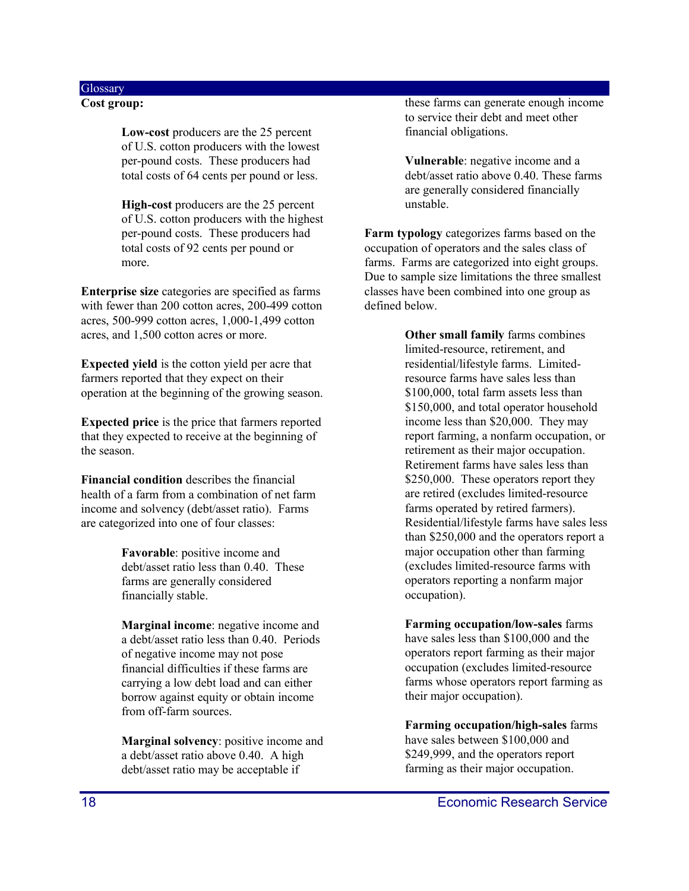### <span id="page-17-0"></span>**Glossary**

**Cost group:**

**Low-cost** producers are the 25 percent of U.S. cotton producers with the lowest per-pound costs. These producers had total costs of 64 cents per pound or less.

**High-cost** producers are the 25 percent of U.S. cotton producers with the highest per-pound costs. These producers had total costs of 92 cents per pound or more.

**Enterprise size** categories are specified as farms with fewer than 200 cotton acres, 200-499 cotton acres, 500-999 cotton acres, 1,000-1,499 cotton acres, and 1,500 cotton acres or more.

**Expected yield** is the cotton yield per acre that farmers reported that they expect on their operation at the beginning of the growing season.

**Expected price** is the price that farmers reported that they expected to receive at the beginning of the season.

**Financial condition** describes the financial health of a farm from a combination of net farm income and solvency (debt/asset ratio). Farms are categorized into one of four classes:

> **Favorable**: positive income and debt/asset ratio less than 0.40. These farms are generally considered financially stable.

**Marginal income**: negative income and a debt/asset ratio less than 0.40. Periods of negative income may not pose financial difficulties if these farms are carrying a low debt load and can either borrow against equity or obtain income from off-farm sources.

**Marginal solvency**: positive income and a debt/asset ratio above 0.40. A high debt/asset ratio may be acceptable if

these farms can generate enough income to service their debt and meet other financial obligations.

**Vulnerable**: negative income and a debt/asset ratio above 0.40. These farms are generally considered financially unstable.

**Farm typology** categorizes farms based on the occupation of operators and the sales class of farms. Farms are categorized into eight groups. Due to sample size limitations the three smallest classes have been combined into one group as defined below.

> **Other small family** farms combines limited-resource, retirement, and residential/lifestyle farms. Limitedresource farms have sales less than \$100,000, total farm assets less than \$150,000, and total operator household income less than \$20,000. They may report farming, a nonfarm occupation, or retirement as their major occupation. Retirement farms have sales less than \$250,000. These operators report they are retired (excludes limited-resource farms operated by retired farmers). Residential/lifestyle farms have sales less than \$250,000 and the operators report a major occupation other than farming (excludes limited-resource farms with operators reporting a nonfarm major occupation).

**Farming occupation/low-sales** farms have sales less than \$100,000 and the operators report farming as their major occupation (excludes limited-resource farms whose operators report farming as their major occupation).

**Farming occupation/high-sales** farms have sales between \$100,000 and \$249,999, and the operators report farming as their major occupation.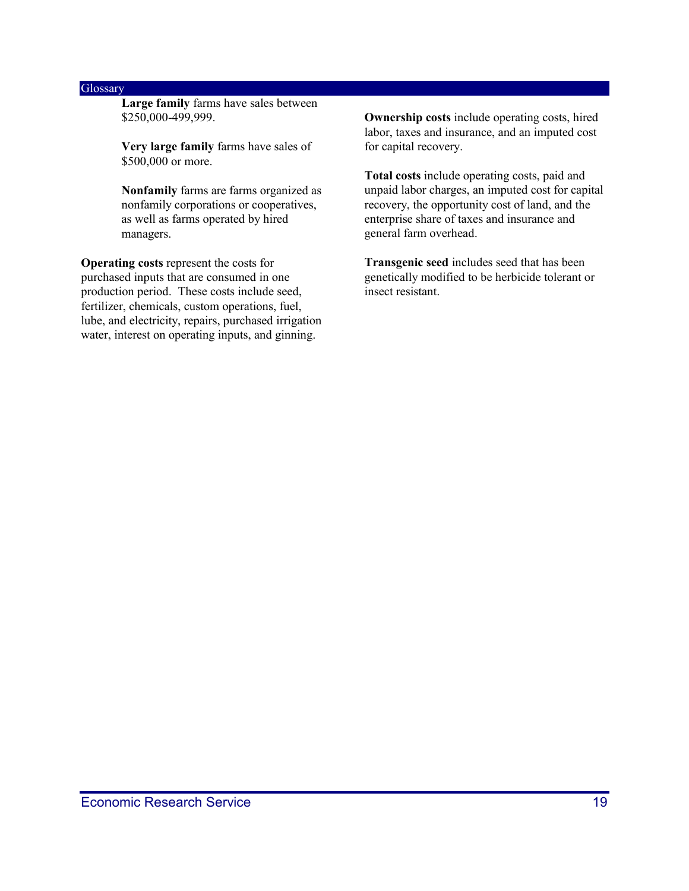#### **Glossary**

**Large family** farms have sales between \$250,000-499,999.

**Very large family** farms have sales of \$500,000 or more.

**Nonfamily** farms are farms organized as nonfamily corporations or cooperatives, as well as farms operated by hired managers.

**Operating costs** represent the costs for purchased inputs that are consumed in one production period. These costs include seed, fertilizer, chemicals, custom operations, fuel, lube, and electricity, repairs, purchased irrigation water, interest on operating inputs, and ginning.

**Ownership costs** include operating costs, hired labor, taxes and insurance, and an imputed cost for capital recovery.

**Total costs** include operating costs, paid and unpaid labor charges, an imputed cost for capital recovery, the opportunity cost of land, and the enterprise share of taxes and insurance and general farm overhead.

**Transgenic seed** includes seed that has been genetically modified to be herbicide tolerant or insect resistant.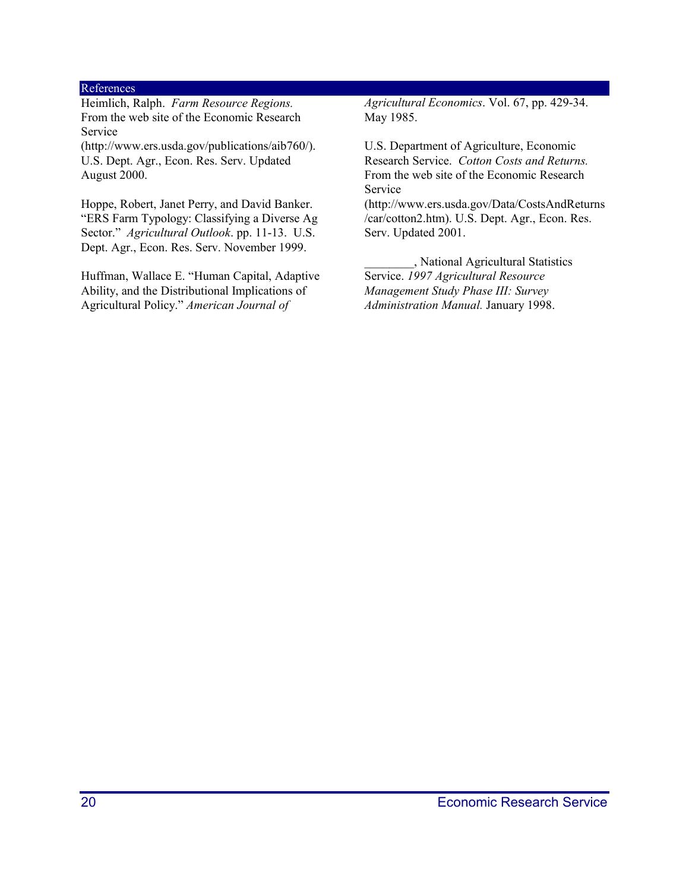#### References

Heimlich, Ralph. *Farm Resource Regions.* From the web site of the Economic Research Service

(http://www.ers.usda.gov/publications/aib760/). U.S. Dept. Agr., Econ. Res. Serv. Updated August 2000.

Hoppe, Robert, Janet Perry, and David Banker. "ERS Farm Typology: Classifying a Diverse Ag Sector." *Agricultural Outlook*. pp. 11-13. U.S. Dept. Agr., Econ. Res. Serv. November 1999.

Huffman, Wallace E. "Human Capital, Adaptive Ability, and the Distributional Implications of Agricultural Policy." *American Journal of*

*Agricultural Economics*. Vol. 67, pp. 429-34. May 1985.

U.S. Department of Agriculture, Economic Research Service. *Cotton Costs and Returns.* From the web site of the Economic Research Service

(http://www.ers.usda.gov/Data/CostsAndReturns /car/cotton2.htm). U.S. Dept. Agr., Econ. Res. Serv. Updated 2001.

\_\_\_\_\_\_\_\_, National Agricultural Statistics Service. *1997 Agricultural Resource Management Study Phase III: Survey Administration Manual.* January 1998.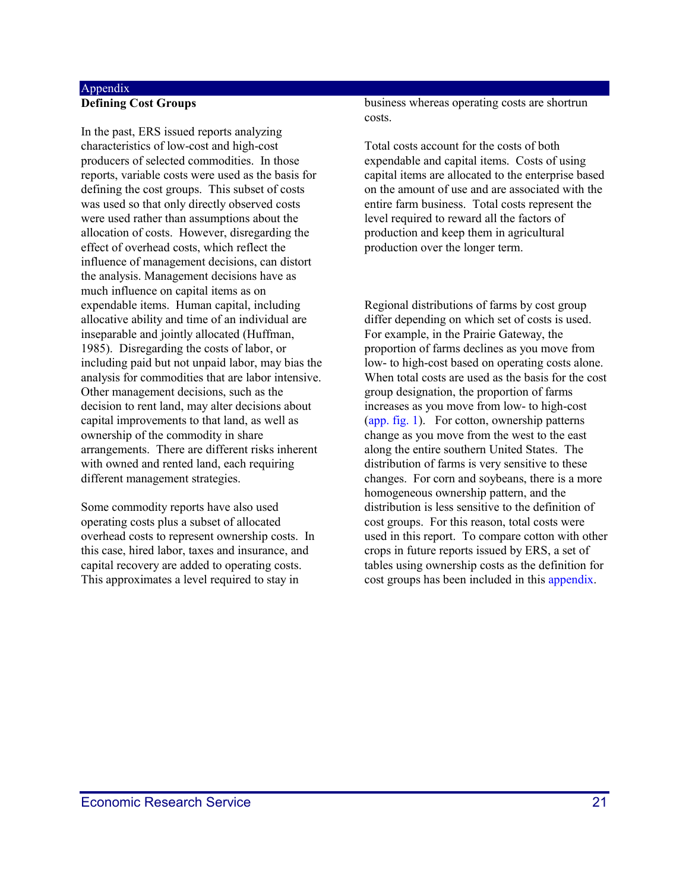#### <span id="page-20-0"></span>Appendix **Defining Cost Groups**

In the past, ERS issued reports analyzing characteristics of low-cost and high-cost producers of selected commodities. In those reports, variable costs were used as the basis for defining the cost groups. This subset of costs was used so that only directly observed costs were used rather than assumptions about the allocation of costs. However, disregarding the effect of overhead costs, which reflect the influence of management decisions, can distort the analysis. Management decisions have as much influence on capital items as on expendable items. Human capital, including allocative ability and time of an individual are inseparable and jointly allocated (Huffman, 1985). Disregarding the costs of labor, or including paid but not unpaid labor, may bias the analysis for commodities that are labor intensive. Other management decisions, such as the decision to rent land, may alter decisions about capital improvements to that land, as well as ownership of the commodity in share arrangements. There are different risks inherent with owned and rented land, each requiring different management strategies.

Some commodity reports have also used operating costs plus a subset of allocated overhead costs to represent ownership costs. In this case, hired labor, taxes and insurance, and capital recovery are added to operating costs. This approximates a level required to stay in

business whereas operating costs are shortrun costs.

Total costs account for the costs of both expendable and capital items. Costs of using capital items are allocated to the enterprise based on the amount of use and are associated with the entire farm business. Total costs represent the level required to reward all the factors of production and keep them in agricultural production over the longer term.

Regional distributions of farms by cost group differ depending on which set of costs is used. For example, in the Prairie Gateway, the proportion of farms declines as you move from low- to high-cost based on operating costs alone. When total costs are used as the basis for the cost group designation, the proportion of farms increases as you move from low- to high-cost (app. fig. 1). For cotton, ownership patterns change as you move from the west to the east along the entire southern United States. The distribution of farms is very sensitive to these changes. For corn and soybeans, there is a more homogeneous ownership pattern, and the distribution is less sensitive to the definition of cost groups. For this reason, total costs were used in this report. To compare cotton with other crops in future reports issued by ERS, a set of tables using ownership costs as the definition for cost groups has been included in this appendix.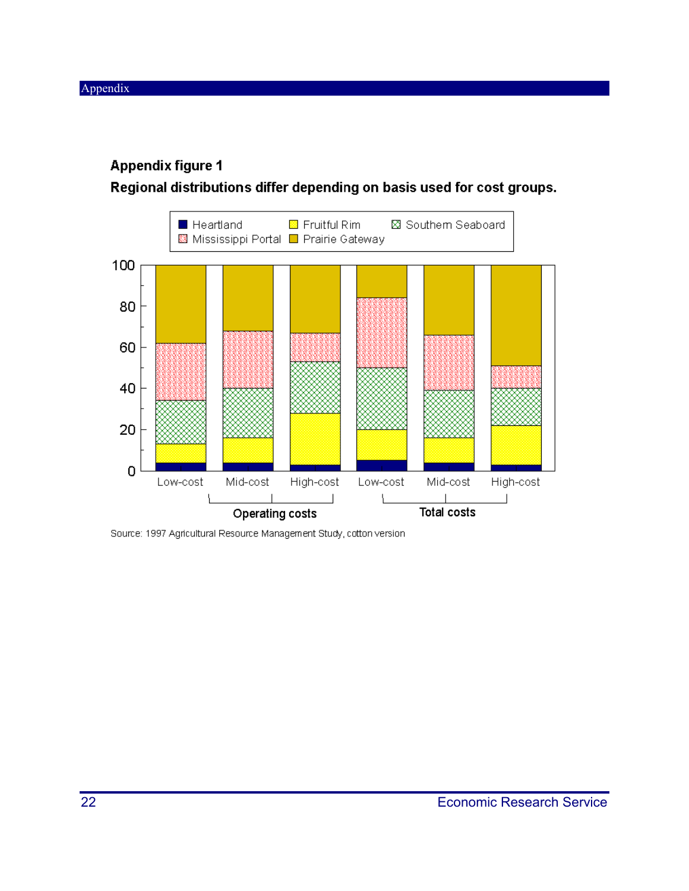### **Appendix figure 1**

Regional distributions differ depending on basis used for cost groups.



Source: 1997 Agricultural Resource Management Study, cotton version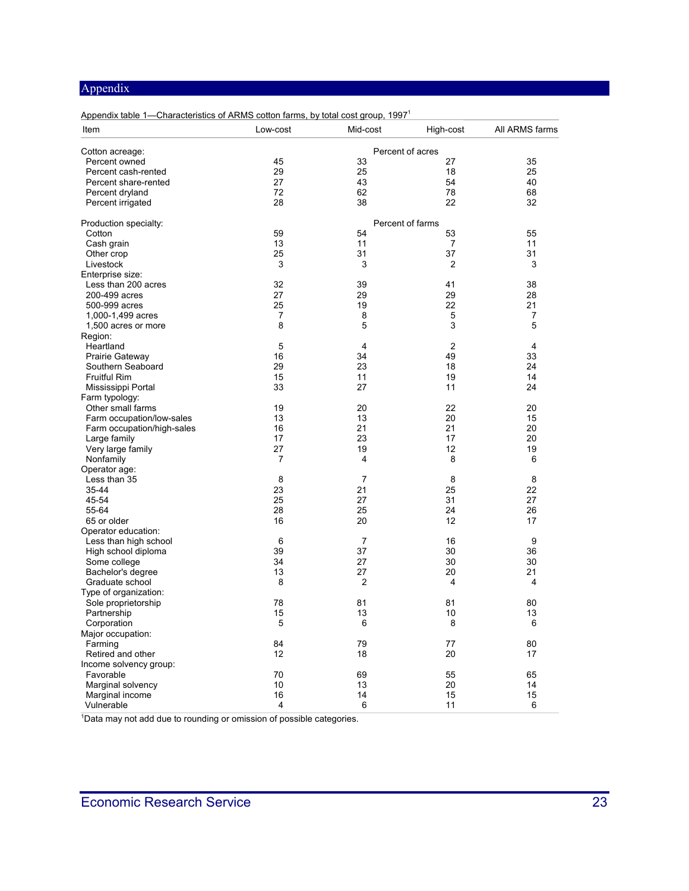| Appendix table 1—Characteristics of ARMS cotton farms, by total cost group, 1997 <sup>1</sup> |                |                |                  |                |  |  |  |  |  |
|-----------------------------------------------------------------------------------------------|----------------|----------------|------------------|----------------|--|--|--|--|--|
| Item                                                                                          | Low-cost       | Mid-cost       | High-cost        | All ARMS farms |  |  |  |  |  |
| Cotton acreage:                                                                               |                |                | Percent of acres |                |  |  |  |  |  |
| Percent owned                                                                                 | 45             | 33             | 27               | 35             |  |  |  |  |  |
| Percent cash-rented                                                                           | 29             | 25             | 18               | 25             |  |  |  |  |  |
| Percent share-rented                                                                          | 27             | 43             | 54               | 40             |  |  |  |  |  |
| Percent dryland                                                                               | 72             | 62             | 78               | 68             |  |  |  |  |  |
| Percent irrigated                                                                             | 28             | 38             | 22               | 32             |  |  |  |  |  |
| Production specialty:                                                                         |                |                | Percent of farms |                |  |  |  |  |  |
| Cotton                                                                                        | 59             | 54             | 53               | 55             |  |  |  |  |  |
| Cash grain                                                                                    | 13             | 11             | 7                | 11             |  |  |  |  |  |
| Other crop                                                                                    | 25             | 31             | 37               | 31             |  |  |  |  |  |
| Livestock                                                                                     | 3              | 3              | 2                | 3              |  |  |  |  |  |
| Enterprise size:                                                                              |                |                |                  |                |  |  |  |  |  |
| Less than 200 acres                                                                           | 32             | 39             | 41               | 38             |  |  |  |  |  |
| 200-499 acres                                                                                 | 27             | 29             | 29               | 28             |  |  |  |  |  |
| 500-999 acres                                                                                 | 25             | 19             | 22               | 21             |  |  |  |  |  |
| 1,000-1,499 acres                                                                             | $\overline{7}$ | 8              | 5                | 7              |  |  |  |  |  |
| 1,500 acres or more                                                                           | 8              | 5              | 3                | 5              |  |  |  |  |  |
| Region:                                                                                       |                |                |                  |                |  |  |  |  |  |
| Heartland                                                                                     | 5              | $\overline{4}$ | $\overline{2}$   | 4              |  |  |  |  |  |
| Prairie Gateway                                                                               | 16             | 34             | 49               | 33             |  |  |  |  |  |
| Southern Seaboard                                                                             | 29             | 23             | 18               | 24             |  |  |  |  |  |
| <b>Fruitful Rim</b>                                                                           | 15             | 11             | 19               | 14             |  |  |  |  |  |
| Mississippi Portal                                                                            | 33             | 27             | 11               | 24             |  |  |  |  |  |
| Farm typology:                                                                                |                |                |                  |                |  |  |  |  |  |
| Other small farms                                                                             | 19             | 20             | 22               | 20             |  |  |  |  |  |
| Farm occupation/low-sales                                                                     | 13             | 13             | 20               | 15             |  |  |  |  |  |
| Farm occupation/high-sales                                                                    | 16             | 21             | 21               | 20             |  |  |  |  |  |
| Large family                                                                                  | 17             | 23             | 17               | 20             |  |  |  |  |  |
| Very large family                                                                             | 27             | 19             | 12               | 19             |  |  |  |  |  |
| Nonfamily                                                                                     | 7              | 4              | 8                | 6              |  |  |  |  |  |
| Operator age:                                                                                 |                |                |                  |                |  |  |  |  |  |
| Less than 35                                                                                  | 8              | $\overline{7}$ | 8                | 8              |  |  |  |  |  |
| 35-44                                                                                         | 23             | 21             | 25               | 22             |  |  |  |  |  |
| 45-54                                                                                         | 25             | 27             | 31               | 27             |  |  |  |  |  |
| 55-64                                                                                         | 28             | 25             | 24               | 26             |  |  |  |  |  |
| 65 or older                                                                                   | 16             | 20             | 12               | 17             |  |  |  |  |  |
| Operator education:                                                                           |                |                |                  |                |  |  |  |  |  |
| Less than high school                                                                         | 6              | 7              | 16               | 9              |  |  |  |  |  |
| High school diploma                                                                           | 39             | 37             | 30               | 36             |  |  |  |  |  |
| Some college                                                                                  | 34             | 27             | 30               | 30             |  |  |  |  |  |
| Bachelor's degree                                                                             | 13             | 27             | 20               | 21             |  |  |  |  |  |
| Graduate school                                                                               | 8              | $\overline{2}$ | 4                | 4              |  |  |  |  |  |
| Type of organization:                                                                         |                |                |                  |                |  |  |  |  |  |
| Sole proprietorship                                                                           | 78             | 81             | 81               | 80             |  |  |  |  |  |
|                                                                                               | 15             | 13             | 10               | 13             |  |  |  |  |  |
| Partnership<br>Corporation                                                                    | 5              | 6              | 8                | 6              |  |  |  |  |  |
| Major occupation:                                                                             |                |                |                  |                |  |  |  |  |  |
|                                                                                               | 84             | 79             |                  | 80             |  |  |  |  |  |
| Farming                                                                                       | 12             | 18             | 77<br>20         | 17             |  |  |  |  |  |
| Retired and other                                                                             |                |                |                  |                |  |  |  |  |  |
| Income solvency group:                                                                        |                |                |                  |                |  |  |  |  |  |
| Favorable                                                                                     | 70             | 69             | 55               | 65             |  |  |  |  |  |
| Marginal solvency                                                                             | $10$           | 13             | 20               | 14             |  |  |  |  |  |
| Marginal income                                                                               | 16             | 14             | 15               | 15             |  |  |  |  |  |
| Vulnerable                                                                                    | 4              | 6              | 11               | 6              |  |  |  |  |  |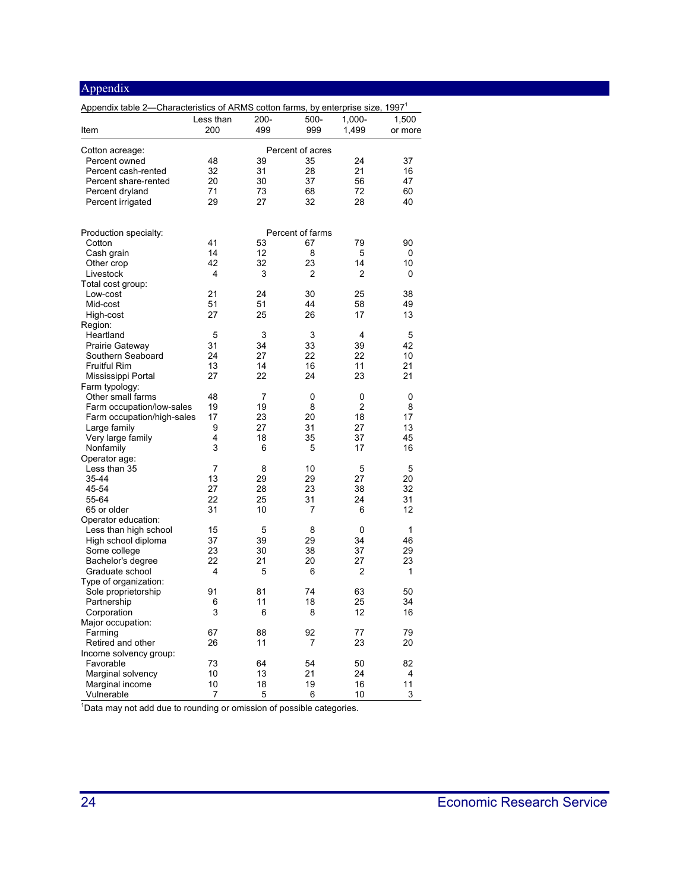| Appendix                                                                                     |           |                |                  |           |          |
|----------------------------------------------------------------------------------------------|-----------|----------------|------------------|-----------|----------|
| Appendix table 2-Characteristics of ARMS cotton farms, by enterprise size, 1997 <sup>1</sup> |           |                |                  |           |          |
|                                                                                              | Less than | $200 -$        | 500-             | $1.000 -$ | 1,500    |
| Item                                                                                         | 200       | 499            | 999              | 1,499     | or more  |
| Cotton acreage:                                                                              |           |                | Percent of acres |           |          |
| Percent owned                                                                                | 48        | 39             | 35               | 24        | 37       |
| Percent cash-rented                                                                          | 32        | 31             | 28               | 21        | 16       |
| Percent share-rented                                                                         | 20        | 30             | 37               | 56        | 47       |
| Percent dryland                                                                              | 71        | 73             | 68               | 72        | 60       |
| Percent irrigated                                                                            | 29        | 27             | 32               | 28        | 40       |
| Production specialty:                                                                        |           |                | Percent of farms |           |          |
| Cotton                                                                                       | 41        | 53             | 67               | 79        | 90       |
| Cash grain                                                                                   | 14        | 12             | 8                | 5         | 0        |
| Other crop                                                                                   | 42        | 32             | 23               | 14        | 10       |
| Livestock                                                                                    | 4         | 3              | 2                | 2         | 0        |
| Total cost group:                                                                            |           |                |                  |           |          |
| Low-cost                                                                                     | 21        | 24             | 30               | 25        | 38       |
| Mid-cost                                                                                     | 51        | 51             | 44               | 58<br>17  | 49       |
| High-cost<br>Region:                                                                         | 27        | 25             | 26               |           | 13       |
| Heartland                                                                                    | 5         | 3              | 3                | 4         | 5        |
| Prairie Gateway                                                                              | 31        | 34             | 33               | 39        | 42       |
| Southern Seaboard                                                                            | 24        | 27             | 22               | 22        | 10       |
| <b>Fruitful Rim</b>                                                                          | 13        | 14             | 16               | 11        | 21       |
| Mississippi Portal                                                                           | 27        | 22             | 24               | 23        | 21       |
| Farm typology:                                                                               |           |                |                  |           |          |
| Other small farms                                                                            | 48        | $\overline{7}$ | 0                | 0         | 0        |
| Farm occupation/low-sales                                                                    | 19        | 19             | 8                | 2         | 8        |
| Farm occupation/high-sales                                                                   | 17        | 23             | 20               | 18        | 17       |
| Large family                                                                                 | 9<br>4    | 27<br>18       | 31<br>35         | 27<br>37  | 13<br>45 |
| Very large family<br>Nonfamily                                                               | 3         | 6              | 5                | 17        | 16       |
| Operator age:                                                                                |           |                |                  |           |          |
| Less than 35                                                                                 | 7         | 8              | 10               | 5         | 5        |
| 35-44                                                                                        | 13        | 29             | 29               | 27        | 20       |
| 45-54                                                                                        | 27        | 28             | 23               | 38        | 32       |
| 55-64                                                                                        | 22        | 25             | 31               | 24        | 31       |
| 65 or older                                                                                  | 31        | 10             | 7                | 6         | 12       |
| Operator education:                                                                          |           |                |                  |           |          |
| Less than high school                                                                        | 15        | 5              | 8                | 0         | 1        |
| High school diploma                                                                          | 37        | 39             | 29               | 34        | 46       |
| Some college                                                                                 | 23        | 30             | 38               | 37        | 29       |
| Bachelor's degree<br>Graduate school                                                         | 22<br>4   | 21<br>5        | 20<br>6          | 27<br>2   | 23<br>1  |
| Type of organization:                                                                        |           |                |                  |           |          |
| Sole proprietorship                                                                          | 91        | 81             | 74               | 63        | 50       |
| Partnership                                                                                  | 6         | 11             | 18               | 25        | 34       |
| Corporation                                                                                  | 3         | 6              | 8                | 12        | 16       |
| Major occupation:                                                                            |           |                |                  |           |          |
| Farming                                                                                      | 67        | 88             | 92               | 77        | 79       |
| Retired and other                                                                            | 26        | 11             | 7                | 23        | 20       |
| Income solvency group:                                                                       |           |                |                  |           |          |
| Favorable                                                                                    | 73        | 64             | 54               | 50        | 82       |
| Marginal solvency                                                                            | 10        | 13             | 21               | 24        | 4        |
| Marginal income                                                                              | 10        | 18             | 19               | 16        | 11       |
| Vulnerable                                                                                   | 7         | 5              | 6                | 10        | 3        |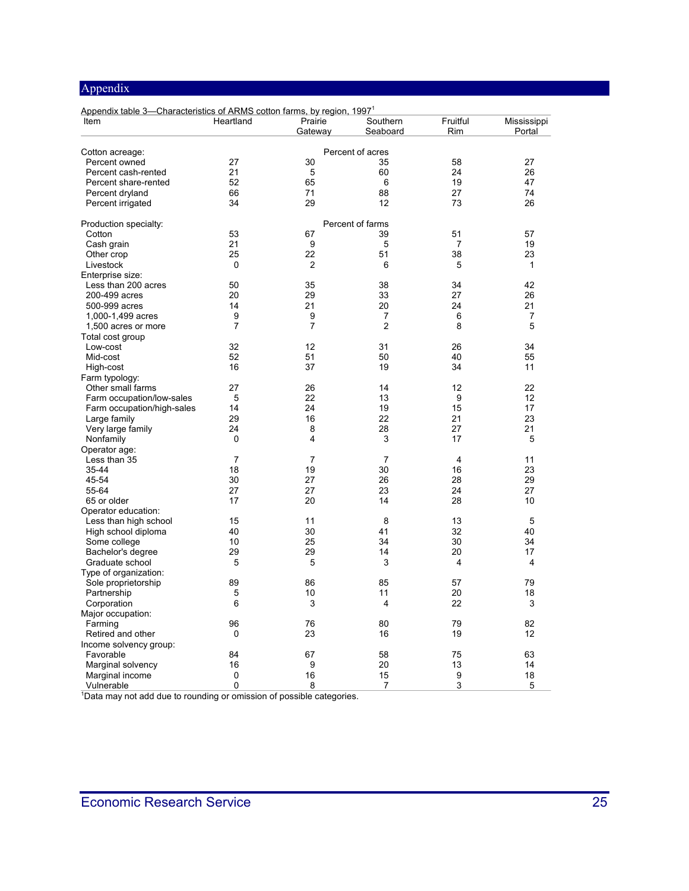| Appendix table 3—Characteristics of ARMS cotton farms, by region, 1997 <sup>1</sup> |                |                    |                      |                 |                       |  |
|-------------------------------------------------------------------------------------|----------------|--------------------|----------------------|-----------------|-----------------------|--|
| Item                                                                                | Heartland      | Prairie<br>Gateway | Southern<br>Seaboard | Fruitful<br>Rim | Mississippi<br>Portal |  |
|                                                                                     |                |                    |                      |                 |                       |  |
| Cotton acreage:                                                                     |                |                    | Percent of acres     |                 |                       |  |
| Percent owned                                                                       | 27             | 30                 | 35                   | 58              | 27                    |  |
| Percent cash-rented                                                                 | 21             | 5                  | 60                   | 24              | 26                    |  |
| Percent share-rented                                                                | 52             | 65                 | $6\phantom{1}$       | 19              | 47                    |  |
| Percent dryland                                                                     | 66             | 71                 | 88                   | 27              | 74                    |  |
| Percent irrigated                                                                   | 34             | 29                 | 12                   | 73              | 26                    |  |
| Production specialty:                                                               |                |                    | Percent of farms     |                 |                       |  |
| Cotton                                                                              | 53             | 67                 | 39                   | 51              | 57                    |  |
| Cash grain                                                                          | 21             | 9                  | 5                    | 7               | 19                    |  |
| Other crop                                                                          | 25             | 22                 | 51                   | 38              | 23                    |  |
| Livestock                                                                           | 0              | $\overline{2}$     | 6                    | 5               | $\mathbf{1}$          |  |
| Enterprise size:                                                                    |                |                    |                      |                 |                       |  |
| Less than 200 acres                                                                 | 50             | 35                 | 38                   | 34              | 42                    |  |
| 200-499 acres                                                                       | 20             | 29                 | 33                   | 27              | 26                    |  |
| 500-999 acres                                                                       | 14             | 21                 | 20                   | 24              | 21                    |  |
| 1,000-1,499 acres                                                                   | 9              | 9                  | 7                    | 6               | 7                     |  |
| 1,500 acres or more                                                                 | $\overline{7}$ | $\overline{7}$     | $\overline{2}$       | 8               | 5                     |  |
| Total cost group                                                                    |                |                    |                      |                 |                       |  |
| Low-cost                                                                            | 32             | 12                 | 31                   | 26              | 34                    |  |
| Mid-cost                                                                            | 52             | 51                 | 50                   | 40              | 55                    |  |
| High-cost                                                                           | 16             | 37                 | 19                   | 34              | 11                    |  |
| Farm typology:                                                                      |                |                    |                      |                 |                       |  |
| Other small farms                                                                   | 27             | 26                 | 14                   | 12              | 22                    |  |
| Farm occupation/low-sales                                                           | 5              | 22                 | 13                   | 9               | 12                    |  |
| Farm occupation/high-sales                                                          | 14             | 24                 | 19                   | 15              | 17                    |  |
| Large family                                                                        | 29             | 16                 | 22                   | 21              | 23                    |  |
| Very large family                                                                   | 24             | 8                  | 28                   | 27              | 21                    |  |
| Nonfamily                                                                           | 0              | 4                  | 3                    | 17              | 5                     |  |
| Operator age:                                                                       |                |                    |                      |                 |                       |  |
| Less than 35                                                                        | 7              | 7                  | 7                    | 4               | 11                    |  |
| $35 - 44$                                                                           | 18             | 19                 | 30                   | 16              | 23                    |  |
| 45-54                                                                               | 30             | 27                 | 26                   | 28              | 29                    |  |
| 55-64                                                                               | 27             | 27                 | 23                   | 24              | 27                    |  |
| 65 or older                                                                         | 17             | 20                 | 14                   | 28              | 10                    |  |
| Operator education:                                                                 |                |                    |                      |                 |                       |  |
| Less than high school                                                               | 15             | 11                 | 8                    | 13              | 5                     |  |
| High school diploma                                                                 | 40             | 30                 | 41                   | 32              | 40                    |  |
| Some college                                                                        | 10             | 25                 | 34                   | 30              | 34                    |  |
| Bachelor's degree                                                                   | 29             | 29                 | 14                   | 20              | 17                    |  |
| Graduate school                                                                     | 5              | 5                  | 3                    | 4               | 4                     |  |
| Type of organization:                                                               |                |                    |                      |                 |                       |  |
| Sole proprietorship                                                                 | 89             | 86                 | 85                   | 57              | 79                    |  |
| Partnership                                                                         | 5              | 10                 | 11                   | 20              | 18                    |  |
| Corporation                                                                         | 6              | 3                  | 4                    | 22              | 3                     |  |
| Major occupation:                                                                   |                |                    |                      |                 |                       |  |
| Farming                                                                             | 96             | 76                 | 80                   | 79              | 82                    |  |
| Retired and other                                                                   | 0              | 23                 | 16                   | 19              | 12                    |  |
| Income solvency group:                                                              |                |                    |                      |                 |                       |  |
| Favorable                                                                           | 84             | 67                 | 58                   | 75              | 63                    |  |
| Marginal solvency                                                                   | 16             | 9                  | 20                   | 13              | 14                    |  |
| Marginal income                                                                     | 0              | 16                 | 15                   | 9               | 18                    |  |
| Vulnerable                                                                          | 0              | 8                  | $\overline{7}$       | 3               | 5                     |  |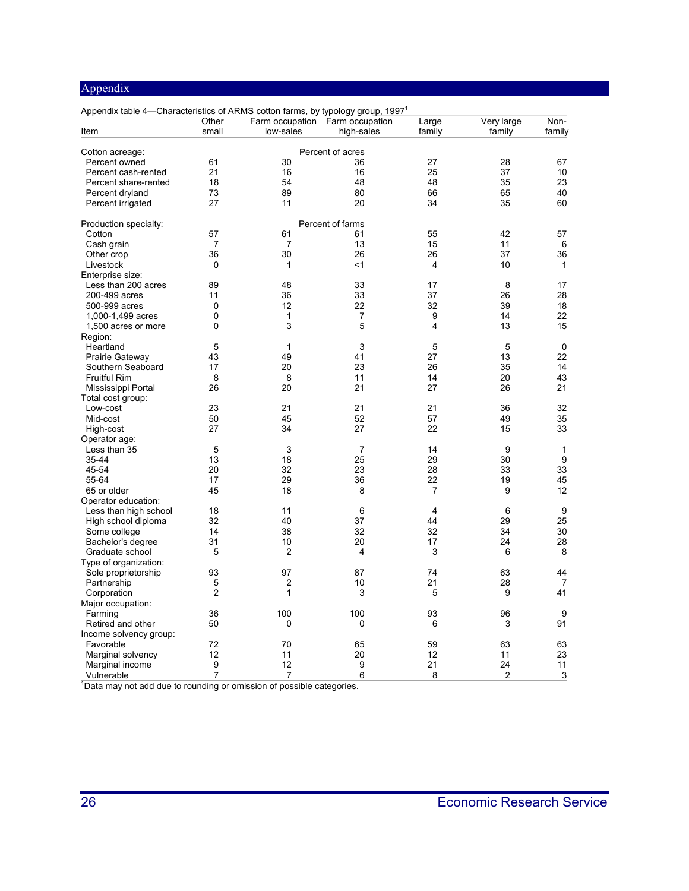<span id="page-25-0"></span>

| Appendix table 4-Characteristics of ARMS cotton farms, by typology group, 1997 <sup>1</sup> | Other          | Farm occupation Farm occupation |                         | Large          | Very large | Non-        |
|---------------------------------------------------------------------------------------------|----------------|---------------------------------|-------------------------|----------------|------------|-------------|
| Item                                                                                        | small          | low-sales                       | high-sales              | family         | family     | family      |
|                                                                                             |                |                                 | Percent of acres        |                |            |             |
| Cotton acreage:<br>Percent owned                                                            | 61             | 30                              | 36                      | 27             | 28         | 67          |
| Percent cash-rented                                                                         | 21             | 16                              | 16                      | 25             | 37         | 10          |
|                                                                                             | 18             | 54                              | 48                      | 48             | 35         | 23          |
| Percent share-rented                                                                        | 73             | 89                              | 80                      | 66             | 65         |             |
| Percent dryland                                                                             | 27             | 11                              | 20                      | 34             | 35         | 40<br>60    |
| Percent irrigated                                                                           |                |                                 |                         |                |            |             |
| Production specialty:                                                                       |                |                                 | Percent of farms        |                |            |             |
| Cotton                                                                                      | 57             | 61                              | 61                      | 55             | 42         | 57          |
| Cash grain                                                                                  | $\overline{7}$ | 7                               | 13                      | 15             | 11         | 6           |
| Other crop                                                                                  | 36             | 30                              | 26                      | 26             | 37         | 36          |
| Livestock                                                                                   | 0              | $\mathbf{1}$                    | $<$ 1                   | 4              | 10         | 1           |
| Enterprise size:                                                                            |                |                                 |                         |                |            |             |
| Less than 200 acres                                                                         | 89             | 48                              | 33                      | 17             | 8          | 17          |
| 200-499 acres                                                                               | 11             | 36                              | 33                      | 37             | 26         | 28          |
| 500-999 acres                                                                               | 0              | 12                              | 22                      | 32             | 39         | 18          |
| 1,000-1,499 acres                                                                           | 0              | 1                               | 7                       | 9              | 14         | 22          |
| 1,500 acres or more                                                                         | 0              | 3                               | 5                       | 4              | 13         | 15          |
| Region:                                                                                     |                |                                 |                         |                |            |             |
| Heartland                                                                                   | 5              | $\mathbf{1}$                    | 3                       | 5              | 5          | $\mathbf 0$ |
| Prairie Gateway                                                                             | 43             | 49                              | 41                      | 27             | 13         | 22          |
| Southern Seaboard                                                                           | 17             | 20                              | 23                      | 26             | 35         | 14          |
| <b>Fruitful Rim</b>                                                                         | 8              | 8                               | 11                      | 14             | 20         | 43          |
| Mississippi Portal                                                                          | 26             | 20                              | 21                      | 27             | 26         | 21          |
| Total cost group:                                                                           |                |                                 |                         |                |            |             |
| Low-cost                                                                                    | 23             | 21                              | 21                      | 21             | 36         | 32          |
| Mid-cost                                                                                    | 50             | 45                              | 52                      | 57             | 49         | 35          |
| High-cost                                                                                   | 27             | 34                              | 27                      | 22             | 15         | 33          |
| Operator age:                                                                               |                |                                 |                         |                |            |             |
| Less than 35                                                                                | 5              | 3                               | $\overline{7}$          | 14             | 9          | 1           |
| $35 - 44$                                                                                   | 13             | 18                              | 25                      | 29             | 30         | 9           |
| 45-54                                                                                       | 20             | 32                              | 23                      | 28             | 33         | 33          |
| 55-64                                                                                       | 17             | 29                              | 36                      | 22             | 19         | 45          |
| 65 or older                                                                                 | 45             | 18                              | 8                       | 7              | 9          | 12          |
| Operator education:                                                                         |                |                                 |                         |                |            |             |
| Less than high school                                                                       | 18             | 11                              | 6                       | $\overline{4}$ | 6          | 9           |
| High school diploma                                                                         | 32             | 40                              | 37                      | 44             | 29         | 25          |
| Some college                                                                                | 14             | 38                              | 32                      | 32             | 34         | 30          |
| Bachelor's degree                                                                           | 31             | 10                              | 20                      | 17             | 24         | 28          |
| Graduate school                                                                             | 5              | $\overline{2}$                  | $\overline{\mathbf{4}}$ | 3              | 6          | 8           |
| Type of organization:                                                                       |                |                                 |                         |                |            |             |
| Sole proprietorship                                                                         | 93             | 97                              | 87                      | 74             | 63         | 44          |
| Partnership                                                                                 | 5              | 2                               | 10                      | 21             | 28         | 7           |
| Corporation                                                                                 | $\overline{2}$ | 1                               | 3                       | 5              | 9          | 41          |
| Major occupation:                                                                           |                |                                 |                         |                |            |             |
| Farming                                                                                     | 36             | 100                             | 100                     | 93             | 96         | 9           |
| Retired and other                                                                           | 50             | 0                               | 0                       | 6              | 3          | 91          |
| Income solvency group:                                                                      |                |                                 |                         |                |            |             |
| Favorable                                                                                   | 72             | 70                              | 65                      | 59             | 63         | 63          |
| Marginal solvency                                                                           | 12             | 11                              | 20                      | 12             | 11         | 23          |
| Marginal income                                                                             | 9              | 12                              | 9                       | 21             | 24         | 11          |
| Vulnerable                                                                                  | $\overline{7}$ | 7                               | 6                       | 8              | 2          | 3           |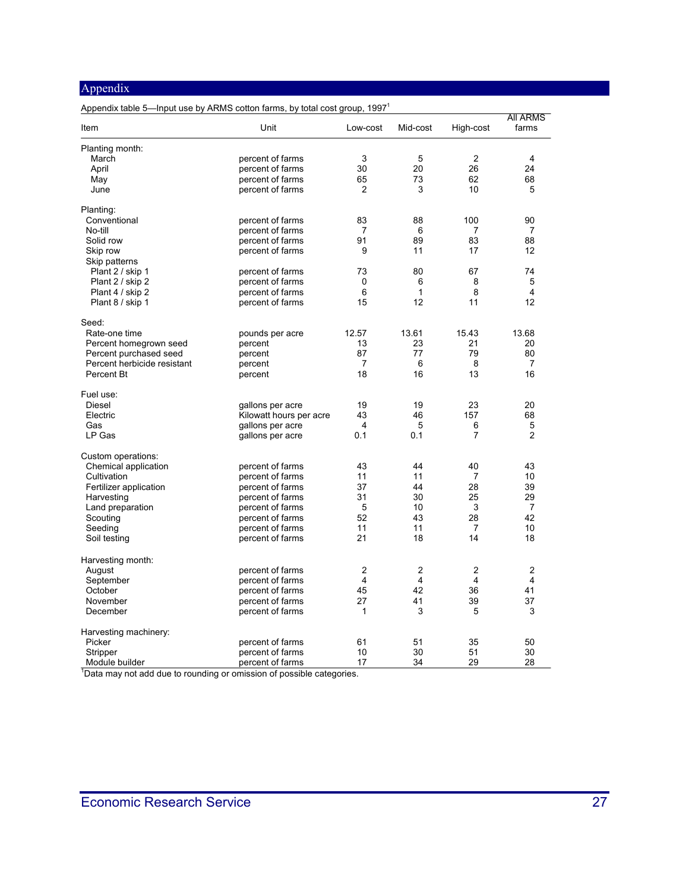#### Appendix table 5—Input use by ARMS cotton farms, by total cost group, 1997<sup>1</sup>

| Item                        | Unit                    | Low-cost       | Mid-cost       | High-cost      | <b>AII ARMS</b><br>farms |
|-----------------------------|-------------------------|----------------|----------------|----------------|--------------------------|
| Planting month:             |                         |                |                |                |                          |
| March                       | percent of farms        | 3              | 5              | 2              | $\overline{4}$           |
| April                       | percent of farms        | 30             | 20             | 26             | 24                       |
| May                         | percent of farms        | 65             | 73             | 62             | 68                       |
| June                        | percent of farms        | 2              | 3              | 10             | 5                        |
|                             |                         |                |                |                |                          |
| Planting:                   |                         |                |                |                |                          |
| Conventional                | percent of farms        | 83             | 88             | 100            | 90                       |
| No-till                     | percent of farms        | 7              | 6              | 7              | 7                        |
| Solid row                   | percent of farms        | 91             | 89             | 83             | 88                       |
| Skip row                    | percent of farms        | 9              | 11             | 17             | 12                       |
| Skip patterns               |                         |                |                |                |                          |
| Plant 2 / skip 1            | percent of farms        | 73             | 80             | 67             | 74                       |
| Plant 2 / skip 2            | percent of farms        | $\mathbf 0$    | 6              | 8              | 5                        |
| Plant 4 / skip 2            | percent of farms        | 6              | 1              | 8              | $\overline{4}$           |
| Plant 8 / skip 1            | percent of farms        | 15             | 12             | 11             | 12                       |
|                             |                         |                |                |                |                          |
| Seed:                       |                         |                |                |                |                          |
| Rate-one time               | pounds per acre         | 12.57          | 13.61          | 15.43          | 13.68                    |
| Percent homegrown seed      | percent                 | 13             | 23             | 21             | 20                       |
| Percent purchased seed      | percent                 | 87             | 77             | 79             | 80                       |
| Percent herbicide resistant | percent                 | $\overline{7}$ | 6              | 8              | 7                        |
| Percent Bt                  | percent                 | 18             | 16             | 13             | 16                       |
|                             |                         |                |                |                |                          |
| Fuel use:<br>Diesel         |                         | 19             | 19             | 23             | 20                       |
|                             | gallons per acre        |                |                |                |                          |
| Electric                    | Kilowatt hours per acre | 43             | 46             | 157            | 68                       |
| Gas                         | gallons per acre        | 4              | 5              | 6              | 5                        |
| LP Gas                      | gallons per acre        | 0.1            | 0.1            | $\overline{7}$ | $\overline{2}$           |
| Custom operations:          |                         |                |                |                |                          |
| Chemical application        | percent of farms        | 43             | 44             | 40             | 43                       |
| Cultivation                 | percent of farms        | 11             | 11             | 7              | 10                       |
| Fertilizer application      | percent of farms        | 37             | 44             | 28             | 39                       |
| Harvesting                  | percent of farms        | 31             | 30             | 25             | 29                       |
| Land preparation            | percent of farms        | 5              | 10             | 3              | $\overline{7}$           |
| Scouting                    | percent of farms        | 52             | 43             | 28             | 42                       |
|                             |                         | 11             | 11             |                |                          |
| Seeding                     | percent of farms        | 21             |                | 7<br>14        | 10<br>18                 |
| Soil testing                | percent of farms        |                | 18             |                |                          |
| Harvesting month:           |                         |                |                |                |                          |
| August                      | percent of farms        | 2              | 2              | 2              | 2                        |
| September                   | percent of farms        | $\overline{4}$ | $\overline{4}$ | $\overline{4}$ | 4                        |
| October                     | percent of farms        | 45             | 42             | 36             | 41                       |
| November                    | percent of farms        | 27             | 41             | 39             | 37                       |
| December                    | percent of farms        | 1              | 3              | 5              | 3                        |
|                             |                         |                |                |                |                          |
| Harvesting machinery:       |                         |                |                |                |                          |
| Picker                      | percent of farms        | 61             | 51             | 35             | 50                       |
| Stripper                    | percent of farms        | 10             | 30             | 51             | 30                       |
| Module builder              | percent of farms        | 17             | 34             | 29             | 28                       |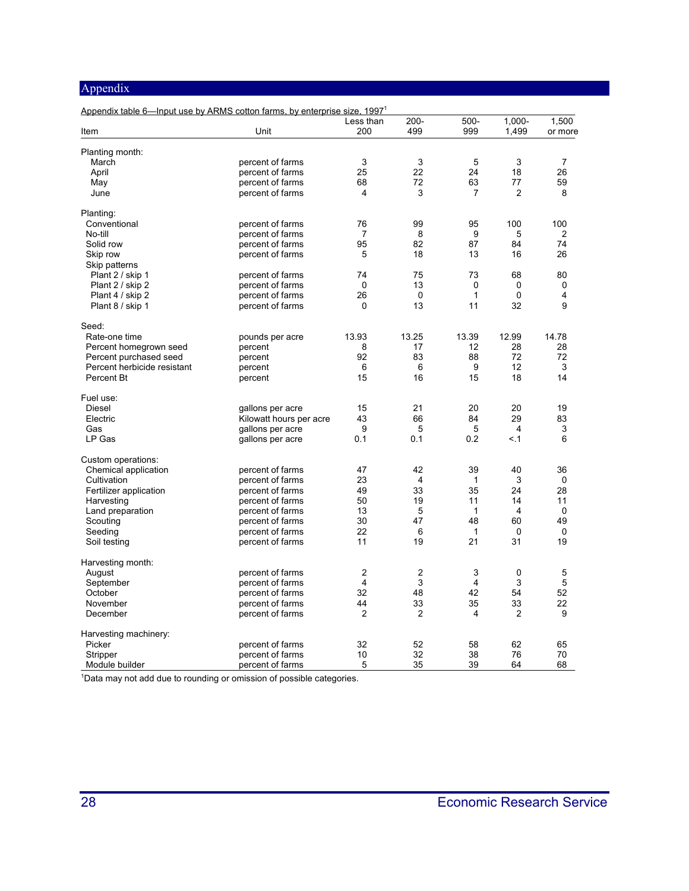| Appendix table 6—Input use by ARMS cotton farms, by enterprise size, 1997 <sup>1</sup> |                         | Less than      | $200 -$                 | 500-           | $1,000 -$      | 1,500          |
|----------------------------------------------------------------------------------------|-------------------------|----------------|-------------------------|----------------|----------------|----------------|
| Item                                                                                   | Unit                    | 200            | 499                     | 999            | 1,499          | or more        |
| Planting month:                                                                        |                         |                |                         |                |                |                |
| March                                                                                  | percent of farms        | 3              | 3                       | 5              | 3              | $\overline{7}$ |
| April                                                                                  | percent of farms        | 25             | 22                      | 24             | 18             | 26             |
| May                                                                                    | percent of farms        | 68             | 72                      | 63             | 77             | 59             |
| June                                                                                   | percent of farms        | $\overline{4}$ | 3                       | $\overline{7}$ | $\overline{2}$ | 8              |
| Planting:                                                                              |                         |                |                         |                |                |                |
| Conventional                                                                           | percent of farms        | 76             | 99                      | 95             | 100            | 100            |
| No-till                                                                                | percent of farms        | 7              | 8                       | 9              | 5              | 2              |
| Solid row                                                                              | percent of farms        | 95             | 82                      | 87             | 84             | 74             |
| Skip row                                                                               | percent of farms        | 5              | 18                      | 13             | 16             | 26             |
| Skip patterns                                                                          |                         |                |                         |                |                |                |
| Plant 2 / skip 1                                                                       | percent of farms        | 74             | 75                      | 73             | 68             | 80             |
| Plant 2 / skip 2                                                                       | percent of farms        | 0              | 13                      | 0              | 0              | 0              |
| Plant 4 / skip 2                                                                       | percent of farms        | 26             | $\mathbf 0$             | $\mathbf{1}$   | $\Omega$       | 4              |
| Plant 8 / skip 1                                                                       | percent of farms        | $\Omega$       | 13                      | 11             | 32             | 9              |
| Seed:                                                                                  |                         |                |                         |                |                |                |
| Rate-one time                                                                          | pounds per acre         | 13.93          | 13.25                   | 13.39          | 12.99          | 14.78          |
| Percent homegrown seed                                                                 | percent                 | 8              | 17                      | 12             | 28             | 28             |
| Percent purchased seed                                                                 | percent                 | 92             | 83                      | 88             | 72             | 72             |
| Percent herbicide resistant                                                            | percent                 | 6              | 6                       | 9              | 12             | 3              |
| Percent Bt                                                                             | percent                 | 15             | 16                      | 15             | 18             | 14             |
| Fuel use:                                                                              |                         |                |                         |                |                |                |
| <b>Diesel</b>                                                                          | gallons per acre        | 15             | 21                      | 20             | 20             | 19             |
| Electric                                                                               | Kilowatt hours per acre | 43             | 66                      | 84             | 29             | 83             |
| Gas                                                                                    | gallons per acre        | 9              | 5                       | 5              | 4              | 3              |
| LP Gas                                                                                 | gallons per acre        | 0.1            | 0.1                     | 0.2            | < 1            | 6              |
| Custom operations:                                                                     |                         |                |                         |                |                |                |
| Chemical application                                                                   | percent of farms        | 47             | 42                      | 39             | 40             | 36             |
| Cultivation                                                                            | percent of farms        | 23             | $\overline{4}$          | 1              | 3              | 0              |
| Fertilizer application                                                                 | percent of farms        | 49             | 33                      | 35             | 24             | 28             |
| Harvesting                                                                             | percent of farms        | 50             | 19                      | 11             | 14             | 11             |
| Land preparation                                                                       | percent of farms        | 13             | 5                       | $\mathbf{1}$   | 4              | $\Omega$       |
| Scouting                                                                               | percent of farms        | 30             | 47                      | 48             | 60             | 49             |
| Seeding                                                                                | percent of farms        | 22             | 6                       | $\mathbf{1}$   | $\mathbf{0}$   | $\mathbf 0$    |
| Soil testing                                                                           | percent of farms        | 11             | 19                      | 21             | 31             | 19             |
| Harvesting month:                                                                      |                         |                |                         |                |                |                |
| August                                                                                 | percent of farms        | $\overline{c}$ | $\overline{\mathbf{c}}$ | 3              | $\mathbf 0$    | 5              |
| September                                                                              | percent of farms        | $\overline{4}$ | 3                       | $\overline{4}$ | 3              | 5              |
| October                                                                                | percent of farms        | 32             | 48                      | 42             | 54             | 52             |
| November                                                                               | percent of farms        | 44             | 33                      | 35             | 33             | 22             |
| December                                                                               | percent of farms        | $\overline{2}$ | $\overline{2}$          | 4              | $\overline{2}$ | 9              |
| Harvesting machinery:                                                                  |                         |                |                         |                |                |                |
| Picker                                                                                 | percent of farms        | 32             | 52                      | 58             | 62             | 65             |
| Stripper                                                                               | percent of farms        | 10             | 32                      | 38             | 76             | 70             |
| Module builder                                                                         | percent of farms        | 5              | 35                      | 39             | 64             | 68             |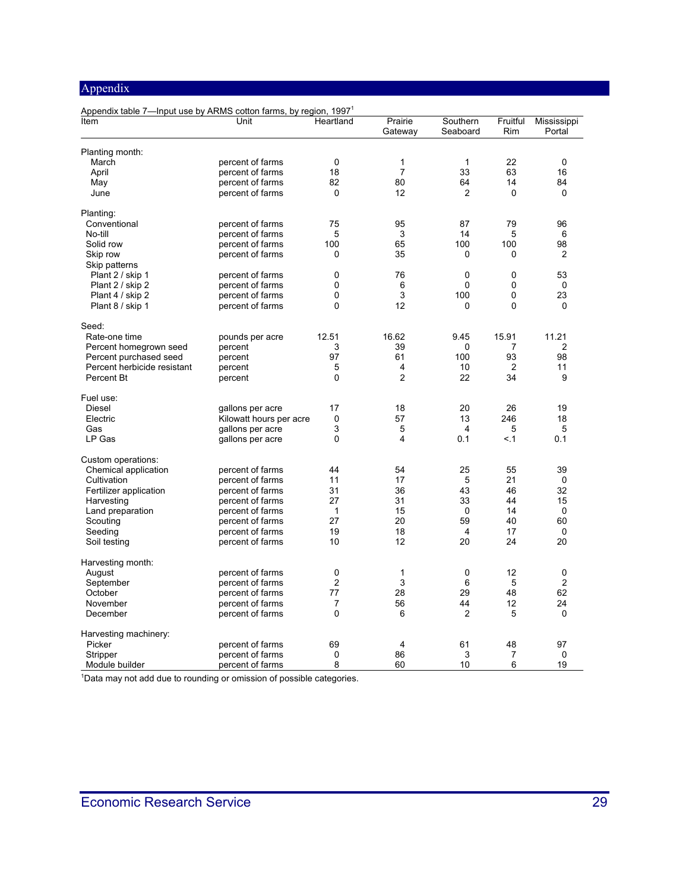| Appendix table 7-Input use by ARMS cotton farms, by region, 1997 <sup>1</sup> |                                      |                |                    |                      |                 |                       |
|-------------------------------------------------------------------------------|--------------------------------------|----------------|--------------------|----------------------|-----------------|-----------------------|
| Item                                                                          | Unit                                 | Heartland      | Prairie<br>Gateway | Southern<br>Seaboard | Fruitful<br>Rim | Mississippi<br>Portal |
| Planting month:                                                               |                                      |                |                    |                      |                 |                       |
| March                                                                         | percent of farms                     | 0              | 1                  | 1                    | 22              | 0                     |
| April                                                                         | percent of farms                     | 18             | $\overline{7}$     | 33                   | 63              | 16                    |
| May                                                                           | percent of farms                     | 82             | 80                 | 64                   | 14              | 84                    |
| June                                                                          | percent of farms                     | 0              | 12                 | $\overline{2}$       | 0               | 0                     |
| Planting:                                                                     |                                      |                |                    |                      |                 |                       |
| Conventional                                                                  | percent of farms                     | 75             | 95                 | 87                   | 79              | 96                    |
| No-till                                                                       | percent of farms                     | 5              | 3                  | 14                   | 5               | 6                     |
| Solid row                                                                     | percent of farms                     | 100            | 65                 | 100                  | 100             | 98                    |
| Skip row                                                                      | percent of farms                     | 0              | 35                 | 0                    | 0               | 2                     |
| Skip patterns                                                                 |                                      |                |                    |                      |                 |                       |
| Plant 2 / skip 1                                                              |                                      | 0              | 76                 | $\mathbf 0$          | $\mathbf{0}$    | 53                    |
| Plant 2 / skip 2                                                              | percent of farms<br>percent of farms | 0              | 6                  | 0                    | 0               | 0                     |
|                                                                               |                                      |                |                    |                      | 0               |                       |
| Plant 4 / skip 2                                                              | percent of farms                     | 0<br>$\Omega$  | 3<br>12            | 100                  | 0               | 23                    |
| Plant 8 / skip 1                                                              | percent of farms                     |                |                    | 0                    |                 | 0                     |
| Seed:                                                                         |                                      |                |                    |                      |                 |                       |
| Rate-one time                                                                 | pounds per acre                      | 12.51          | 16.62              | 9.45                 | 15.91           | 11.21                 |
| Percent homegrown seed                                                        | percent                              | 3              | 39                 | 0                    | 7               | $\overline{2}$        |
| Percent purchased seed                                                        | percent                              | 97             | 61                 | 100                  | 93              | 98                    |
| Percent herbicide resistant                                                   | percent                              | 5              | 4                  | 10                   | 2               | 11                    |
| Percent Bt                                                                    | percent                              | $\mathbf{0}$   | $\overline{2}$     | 22                   | 34              | 9                     |
| Fuel use:                                                                     |                                      |                |                    |                      |                 |                       |
| Diesel                                                                        | gallons per acre                     | 17             | 18                 | 20                   | 26              | 19                    |
| Electric                                                                      | Kilowatt hours per acre              | 0              | 57                 | 13                   | 246             | 18                    |
| Gas                                                                           | gallons per acre                     | 3              | 5                  | $\overline{4}$       | 5               | 5                     |
| LP Gas                                                                        | gallons per acre                     | 0              | 4                  | 0.1                  | < 1             | 0.1                   |
| Custom operations:                                                            |                                      |                |                    |                      |                 |                       |
| Chemical application                                                          | percent of farms                     | 44             | 54                 | 25                   | 55              | 39                    |
| Cultivation                                                                   | percent of farms                     | 11             | 17                 | 5                    | 21              | $\Omega$              |
| Fertilizer application                                                        | percent of farms                     | 31             | 36                 | 43                   | 46              | 32                    |
| Harvesting                                                                    | percent of farms                     | 27             | 31                 | 33                   | 44              | 15                    |
| Land preparation                                                              | percent of farms                     | $\mathbf{1}$   | 15                 | $\Omega$             | 14              | $\Omega$              |
| Scouting                                                                      | percent of farms                     | 27             | 20                 | 59                   | 40              | 60                    |
| Seeding                                                                       | percent of farms                     | 19             | 18                 | 4                    | 17              | $\Omega$              |
| Soil testing                                                                  | percent of farms                     | 10             | 12                 | 20                   | 24              | 20                    |
| Harvesting month:                                                             |                                      |                |                    |                      |                 |                       |
| August                                                                        | percent of farms                     | 0              | 1                  | 0                    | 12              | 0                     |
| September                                                                     | percent of farms                     | $\overline{2}$ | 3                  | 6                    | 5               | $\overline{2}$        |
| October                                                                       | percent of farms                     | 77             | 28                 | 29                   | 48              | 62                    |
| November                                                                      | percent of farms                     | $\overline{7}$ | 56                 | 44                   | 12              | 24                    |
| December                                                                      | percent of farms                     | 0              | 6                  | 2                    | 5               | $\Omega$              |
| Harvesting machinery:                                                         |                                      |                |                    |                      |                 |                       |
| Picker                                                                        | percent of farms                     | 69             | 4                  | 61                   | 48              | 97                    |
| Stripper                                                                      | percent of farms                     | 0              | 86                 | 3                    | 7               | 0                     |
| Module builder                                                                | percent of farms                     | 8              | 60                 | 10                   | 6               | 19                    |
|                                                                               |                                      |                |                    |                      |                 |                       |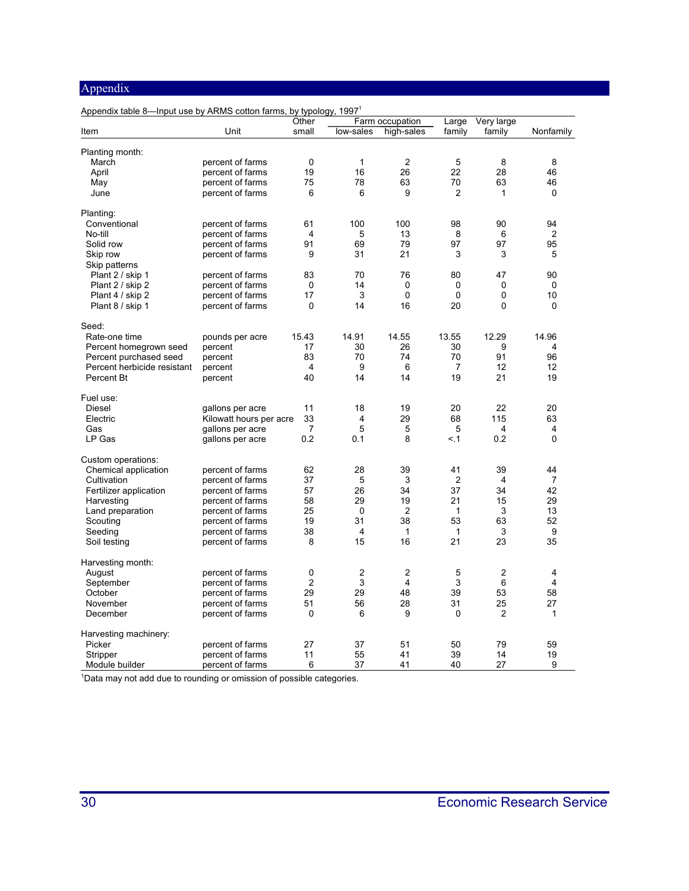| Appendix table 8-lnput use by ARMS cotton farms, by typology, 1997 <sup>1</sup> |                         |                |                         |                               |                 |                      |                |
|---------------------------------------------------------------------------------|-------------------------|----------------|-------------------------|-------------------------------|-----------------|----------------------|----------------|
| Item                                                                            | Unit                    | Other<br>small | low-sales               | Farm occupation<br>high-sales | Large<br>family | Very large<br>family | Nonfamily      |
|                                                                                 |                         |                |                         |                               |                 |                      |                |
| Planting month:                                                                 |                         |                |                         |                               |                 |                      |                |
| March                                                                           | percent of farms        | 0              | $\mathbf{1}$            | $\overline{c}$                | 5               | 8                    | 8              |
| April                                                                           | percent of farms        | 19             | 16                      | 26                            | 22              | 28                   | 46             |
| May                                                                             | percent of farms        | 75             | 78                      | 63                            | 70              | 63                   | 46             |
| June                                                                            | percent of farms        | 6              | 6                       | 9                             | 2               | $\mathbf{1}$         | 0              |
| Planting:                                                                       |                         |                |                         |                               |                 |                      |                |
| Conventional                                                                    | percent of farms        | 61             | 100                     | 100                           | 98              | 90                   | 94             |
| No-till                                                                         | percent of farms        | 4              | 5                       | 13                            | 8               | 6                    | $\overline{2}$ |
| Solid row                                                                       | percent of farms        | 91             | 69                      | 79                            | 97              | 97                   | 95             |
| Skip row                                                                        | percent of farms        | 9              | 31                      | 21                            | 3               | 3                    | 5              |
| Skip patterns                                                                   |                         |                |                         |                               |                 |                      |                |
| Plant 2 / skip 1                                                                | percent of farms        | 83             | 70                      | 76                            | 80              | 47                   | 90             |
| Plant 2 / skip 2                                                                | percent of farms        | 0              | 14                      | 0                             | 0               | 0                    | 0              |
|                                                                                 |                         | 17             | 3                       | 0                             | $\mathbf{0}$    | 0                    | 10             |
| Plant 4 / skip 2                                                                | percent of farms        |                |                         |                               |                 |                      |                |
| Plant 8 / skip 1                                                                | percent of farms        | 0              | 14                      | 16                            | 20              | 0                    | 0              |
| Seed:                                                                           |                         |                |                         |                               |                 |                      |                |
| Rate-one time                                                                   | pounds per acre         | 15.43          | 14.91                   | 14.55                         | 13.55           | 12.29                | 14.96          |
| Percent homegrown seed                                                          | percent                 | 17             | 30                      | 26                            | 30              | 9                    | 4              |
| Percent purchased seed                                                          | percent                 | 83             | 70                      | 74                            | 70              | 91                   | 96             |
| Percent herbicide resistant                                                     | percent                 | 4              | 9                       | 6                             | $\overline{7}$  | 12                   | 12             |
| Percent Bt                                                                      | percent                 | 40             | 14                      | 14                            | 19              | 21                   | 19             |
| Fuel use:                                                                       |                         |                |                         |                               |                 |                      |                |
| <b>Diesel</b>                                                                   | gallons per acre        | 11             | 18                      | 19                            | 20              | 22                   | 20             |
| Electric                                                                        | Kilowatt hours per acre | 33             | 4                       | 29                            | 68              | 115                  | 63             |
| Gas                                                                             | gallons per acre        | 7              | 5                       | 5                             | 5               | 4                    | $\overline{4}$ |
| LP Gas                                                                          | gallons per acre        | 0.2            | 0.1                     | 8                             | < 1             | 0.2                  | 0              |
|                                                                                 |                         |                |                         |                               |                 |                      |                |
| Custom operations:                                                              |                         |                |                         |                               |                 |                      |                |
| Chemical application                                                            | percent of farms        | 62             | 28                      | 39                            | 41              | 39                   | 44             |
| Cultivation                                                                     | percent of farms        | 37             | 5                       | 3                             | $\overline{2}$  | $\overline{4}$       | $\overline{7}$ |
| Fertilizer application                                                          | percent of farms        | 57             | 26                      | 34                            | 37              | 34                   | 42             |
| Harvesting                                                                      | percent of farms        | 58             | 29                      | 19                            | 21              | 15                   | 29             |
| Land preparation                                                                | percent of farms        | 25             | $\Omega$                | $\overline{c}$                | 1               | 3                    | 13             |
| Scouting                                                                        | percent of farms        | 19             | 31                      | 38                            | 53              | 63                   | 52             |
| Seeding                                                                         | percent of farms        | 38             | $\overline{\mathbf{4}}$ | $\mathbf{1}$                  | $\mathbf{1}$    | 3                    | 9              |
| Soil testing                                                                    | percent of farms        | 8              | 15                      | 16                            | 21              | 23                   | 35             |
| Harvesting month:                                                               |                         |                |                         |                               |                 |                      |                |
| August                                                                          | percent of farms        | 0              | $\overline{c}$          | 2                             | 5               | $\overline{2}$       | $\overline{4}$ |
| September                                                                       | percent of farms        | $\overline{2}$ | 3                       | 4                             | 3               | 6                    | 4              |
| October                                                                         | percent of farms        | 29             | 29                      | 48                            | 39              | 53                   | 58             |
| November                                                                        | percent of farms        | 51             | 56                      | 28                            | 31              | 25                   | 27             |
|                                                                                 |                         | 0              | 6                       | 9                             | 0               | $\overline{2}$       | 1              |
| December                                                                        | percent of farms        |                |                         |                               |                 |                      |                |
| Harvesting machinery:                                                           |                         |                |                         |                               |                 |                      |                |
| Picker                                                                          | percent of farms        | 27             | 37                      | 51                            | 50              | 79                   | 59             |
| Stripper                                                                        | percent of farms        | 11             | 55                      | 41                            | 39              | 14                   | 19             |
| Module builder                                                                  | percent of farms        | 6              | 37                      | 41                            | 40              | 27                   | 9              |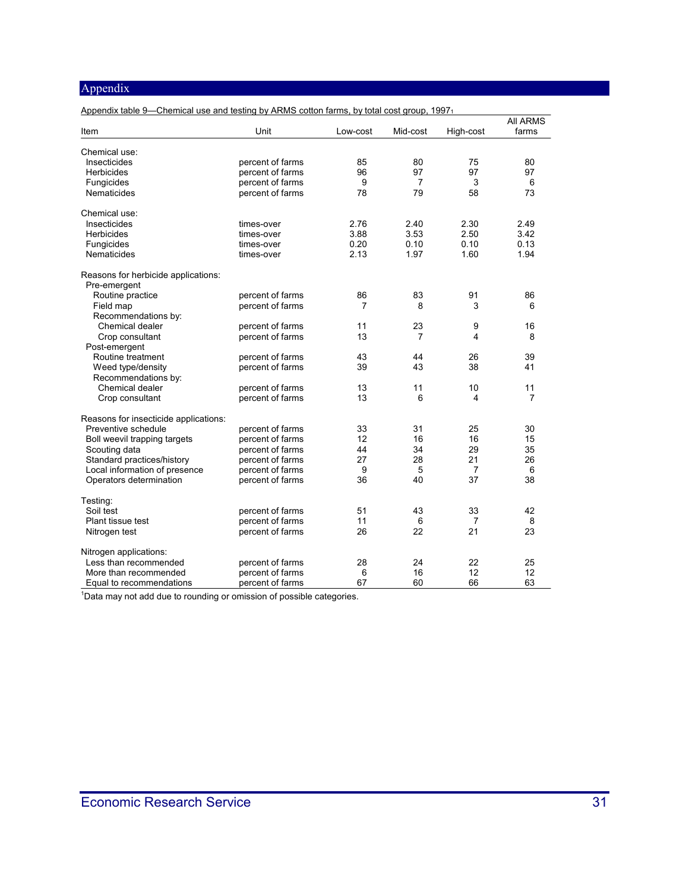| Appendix table 9—Chemical use and testing by ARMS cotton farms, by total cost group, 1997 |                  |          |          |                |                                                                                                                                                                                  |
|-------------------------------------------------------------------------------------------|------------------|----------|----------|----------------|----------------------------------------------------------------------------------------------------------------------------------------------------------------------------------|
|                                                                                           | Unit             |          |          |                | <b>AII ARMS</b><br>farms<br>80<br>97<br>6<br>73<br>2.49<br>3.42<br>0.13<br>1.94<br>86<br>6<br>16<br>8<br>39<br>41<br>11<br>7<br>30<br>15<br>35<br>26<br>6<br>38<br>42<br>8<br>23 |
| Item                                                                                      |                  | Low-cost | Mid-cost | High-cost      |                                                                                                                                                                                  |
| Chemical use:                                                                             |                  |          |          |                |                                                                                                                                                                                  |
| Insecticides                                                                              | percent of farms | 85       | 80       | 75             |                                                                                                                                                                                  |
| Herbicides                                                                                | percent of farms | 96       | 97       | 97             |                                                                                                                                                                                  |
| Fungicides                                                                                | percent of farms | 9        | 7        | 3              |                                                                                                                                                                                  |
| <b>Nematicides</b>                                                                        | percent of farms | 78       | 79       | 58             |                                                                                                                                                                                  |
|                                                                                           |                  |          |          |                |                                                                                                                                                                                  |
| Chemical use:                                                                             |                  |          |          |                |                                                                                                                                                                                  |
| Insecticides                                                                              | times-over       | 2.76     | 2.40     | 2.30           |                                                                                                                                                                                  |
| <b>Herbicides</b>                                                                         | times-over       | 3.88     | 3.53     | 2.50           |                                                                                                                                                                                  |
| Fungicides                                                                                | times-over       | 0.20     | 0.10     | 0.10           |                                                                                                                                                                                  |
| <b>Nematicides</b>                                                                        | times-over       | 2.13     | 1.97     | 1.60           |                                                                                                                                                                                  |
|                                                                                           |                  |          |          |                |                                                                                                                                                                                  |
| Reasons for herbicide applications:                                                       |                  |          |          |                |                                                                                                                                                                                  |
| Pre-emergent                                                                              |                  |          |          |                |                                                                                                                                                                                  |
| Routine practice                                                                          | percent of farms | 86       | 83       | 91             |                                                                                                                                                                                  |
| Field map                                                                                 | percent of farms | 7        | 8        | 3              |                                                                                                                                                                                  |
| Recommendations by:                                                                       |                  |          |          |                |                                                                                                                                                                                  |
| Chemical dealer                                                                           | percent of farms | 11       | 23       | 9              |                                                                                                                                                                                  |
| Crop consultant                                                                           | percent of farms | 13       | 7        | 4              |                                                                                                                                                                                  |
| Post-emergent                                                                             |                  |          |          |                |                                                                                                                                                                                  |
| Routine treatment                                                                         | percent of farms | 43       | 44       | 26             |                                                                                                                                                                                  |
| Weed type/density                                                                         | percent of farms | 39       | 43       | 38             |                                                                                                                                                                                  |
|                                                                                           |                  |          |          |                |                                                                                                                                                                                  |
| Recommendations by:                                                                       |                  |          |          |                |                                                                                                                                                                                  |
| Chemical dealer                                                                           | percent of farms | 13       | 11       | 10             |                                                                                                                                                                                  |
| Crop consultant                                                                           | percent of farms | 13       | 6        | 4              |                                                                                                                                                                                  |
| Reasons for insecticide applications:                                                     |                  |          |          |                |                                                                                                                                                                                  |
| Preventive schedule                                                                       | percent of farms | 33       | 31       | 25             |                                                                                                                                                                                  |
| Boll weevil trapping targets                                                              | percent of farms | 12       | 16       | 16             |                                                                                                                                                                                  |
| Scouting data                                                                             | percent of farms | 44       | 34       | 29             |                                                                                                                                                                                  |
| Standard practices/history                                                                | percent of farms | 27       | 28       | 21             |                                                                                                                                                                                  |
|                                                                                           |                  |          |          |                |                                                                                                                                                                                  |
| Local information of presence                                                             | percent of farms | 9        | 5        | $\overline{7}$ |                                                                                                                                                                                  |
| Operators determination                                                                   | percent of farms | 36       | 40       | 37             |                                                                                                                                                                                  |
| Testing:                                                                                  |                  |          |          |                |                                                                                                                                                                                  |
| Soil test                                                                                 | percent of farms | 51       | 43       | 33             |                                                                                                                                                                                  |
| Plant tissue test                                                                         | percent of farms | 11       | 6        | 7              |                                                                                                                                                                                  |
|                                                                                           | percent of farms | 26       | 22       | 21             |                                                                                                                                                                                  |
| Nitrogen test                                                                             |                  |          |          |                |                                                                                                                                                                                  |
| Nitrogen applications:                                                                    |                  |          |          |                |                                                                                                                                                                                  |
| Less than recommended                                                                     | percent of farms | 28       | 24       | 22             | 25                                                                                                                                                                               |
| More than recommended                                                                     | percent of farms | 6        | 16       | 12             | 12                                                                                                                                                                               |
| Equal to recommendations                                                                  | percent of farms | 67       | 60       | 66             | 63                                                                                                                                                                               |
|                                                                                           |                  |          |          |                |                                                                                                                                                                                  |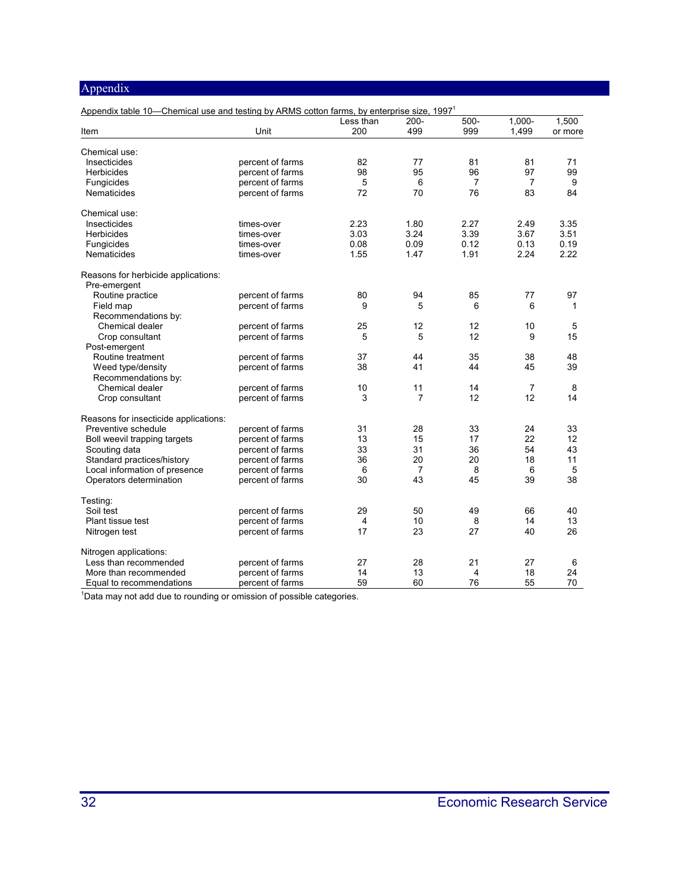| Appendix table 10—Chemical use and testing by ARMS cotton farms, by enterprise size, 1997 <sup>1</sup> |                  |           |                |         |                |         |
|--------------------------------------------------------------------------------------------------------|------------------|-----------|----------------|---------|----------------|---------|
|                                                                                                        |                  | Less than | $200 -$        | $500 -$ | $1,000 -$      | 1,500   |
| Item                                                                                                   | Unit             | 200       | 499            | 999     | 1,499          | or more |
| Chemical use:                                                                                          |                  |           |                |         |                |         |
| Insecticides                                                                                           | percent of farms | 82        | 77             | 81      | 81             | 71      |
| <b>Herbicides</b>                                                                                      | percent of farms | 98        | 95             | 96      | 97             | 99      |
| Fungicides                                                                                             | percent of farms | 5         | 6              | 7       | 7              | 9       |
| <b>Nematicides</b>                                                                                     | percent of farms | 72        | 70             | 76      | 83             | 84      |
| Chemical use:                                                                                          |                  |           |                |         |                |         |
| Insecticides                                                                                           | times-over       | 2.23      | 1.80           | 2.27    | 2.49           | 3.35    |
| <b>Herbicides</b>                                                                                      | times-over       | 3.03      | 3.24           | 3.39    | 3.67           | 3.51    |
| Fungicides                                                                                             | times-over       | 0.08      | 0.09           | 0.12    | 0.13           | 0.19    |
| Nematicides                                                                                            | times-over       | 1.55      | 1.47           | 1.91    | 2.24           | 2.22    |
| Reasons for herbicide applications:                                                                    |                  |           |                |         |                |         |
| Pre-emergent                                                                                           |                  |           |                |         |                |         |
| Routine practice                                                                                       | percent of farms | 80        | 94             | 85      | 77             | 97      |
| Field map                                                                                              | percent of farms | 9         | 5              | 6       | 6              | 1       |
| Recommendations by:                                                                                    |                  |           |                |         |                |         |
| Chemical dealer                                                                                        | percent of farms | 25        | 12             | 12      | 10             | 5       |
| Crop consultant                                                                                        | percent of farms | 5         | 5              | 12      | 9              | 15      |
| Post-emergent                                                                                          |                  |           |                |         |                |         |
| Routine treatment                                                                                      | percent of farms | 37        | 44             | 35      | 38             | 48      |
| Weed type/density                                                                                      | percent of farms | 38        | 41             | 44      | 45             | 39      |
| Recommendations by:                                                                                    |                  |           |                |         |                |         |
| Chemical dealer                                                                                        | percent of farms | 10        | 11             | 14      | $\overline{7}$ | 8       |
| Crop consultant                                                                                        | percent of farms | 3         | 7              | 12      | 12             | 14      |
| Reasons for insecticide applications:                                                                  |                  |           |                |         |                |         |
| Preventive schedule                                                                                    | percent of farms | 31        | 28             | 33      | 24             | 33      |
| Boll weevil trapping targets                                                                           | percent of farms | 13        | 15             | 17      | 22             | 12      |
| Scouting data                                                                                          | percent of farms | 33        | 31             | 36      | 54             | 43      |
| Standard practices/history                                                                             | percent of farms | 36        | 20             | 20      | 18             | 11      |
| Local information of presence                                                                          | percent of farms | 6         | $\overline{7}$ | 8       | 6              | 5       |
| Operators determination                                                                                | percent of farms | 30        | 43             | 45      | 39             | 38      |
| Testing:                                                                                               |                  |           |                |         |                |         |
| Soil test                                                                                              | percent of farms | 29        | 50             | 49      | 66             | 40      |
| Plant tissue test                                                                                      | percent of farms | 4         | 10             | 8       | 14             | 13      |
| Nitrogen test                                                                                          | percent of farms | 17        | 23             | 27      | 40             | 26      |
| Nitrogen applications:                                                                                 |                  |           |                |         |                |         |
| Less than recommended                                                                                  | percent of farms | 27        | 28             | 21      | 27             | 6       |
| More than recommended                                                                                  | percent of farms | 14        | 13             | 4       | 18             | 24      |
| Equal to recommendations                                                                               | percent of farms | 59        | 60             | 76      | 55             | 70      |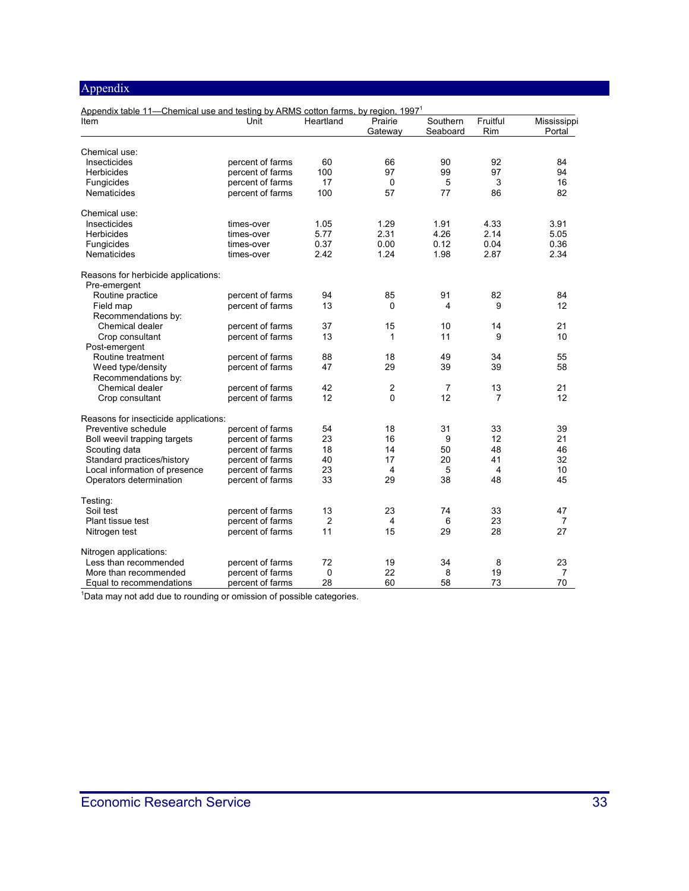| Appendix table 11-Chemical use and testing by ARMS cotton farms, by region, 1997 <sup>1</sup> |                                      |           |                    |                      |                      |                       |
|-----------------------------------------------------------------------------------------------|--------------------------------------|-----------|--------------------|----------------------|----------------------|-----------------------|
| Item                                                                                          | Unit                                 | Heartland | Prairie<br>Gateway | Southern<br>Seaboard | Fruitful<br>Rim      | Mississippi<br>Portal |
|                                                                                               |                                      |           |                    |                      |                      |                       |
| Chemical use:                                                                                 |                                      |           |                    |                      |                      |                       |
| Insecticides                                                                                  | percent of farms                     | 60        | 66                 | 90                   | 92                   | 84                    |
| Herbicides                                                                                    | percent of farms                     | 100       | 97                 | 99                   | 97                   | 94                    |
| Fungicides                                                                                    | percent of farms                     | 17        | $\mathbf 0$        | 5                    | 3                    | 16                    |
| <b>Nematicides</b>                                                                            | percent of farms                     | 100       | 57                 | 77                   | 86                   | 82                    |
| Chemical use:                                                                                 |                                      |           |                    |                      |                      |                       |
| Insecticides                                                                                  | times-over                           | 1.05      | 1.29               | 1.91                 | 4.33                 | 3.91                  |
| <b>Herbicides</b>                                                                             | times-over                           | 5.77      | 2.31               | 4.26                 | 2.14                 | 5.05                  |
| Fungicides                                                                                    | times-over                           | 0.37      | 0.00               | 0.12                 | 0.04                 | 0.36                  |
| <b>Nematicides</b>                                                                            | times-over                           | 2.42      | 1.24               | 1.98                 | 2.87                 | 2.34                  |
| Reasons for herbicide applications:                                                           |                                      |           |                    |                      |                      |                       |
| Pre-emergent                                                                                  |                                      |           |                    |                      |                      |                       |
| Routine practice                                                                              | percent of farms                     | 94        | 85                 | 91                   | 82                   | 84                    |
| Field map                                                                                     | percent of farms                     | 13        | $\Omega$           | 4                    | 9                    | 12                    |
| Recommendations by:                                                                           |                                      |           |                    |                      |                      |                       |
| Chemical dealer                                                                               | percent of farms                     | 37        | 15                 | 10                   | 14                   | 21                    |
| Crop consultant                                                                               | percent of farms                     | 13        | $\mathbf{1}$       | 11                   | 9                    | 10                    |
| Post-emergent                                                                                 |                                      |           |                    |                      |                      |                       |
| Routine treatment                                                                             | percent of farms                     | 88        | 18                 | 49                   | 34                   | 55                    |
| Weed type/density                                                                             | percent of farms                     | 47        | 29                 | 39                   | 39                   | 58                    |
| Recommendations by:                                                                           |                                      |           |                    |                      |                      |                       |
| Chemical dealer                                                                               | percent of farms                     | 42        | $\overline{2}$     | $\overline{7}$       | 13                   | 21                    |
| Crop consultant                                                                               | percent of farms                     | 12        | $\Omega$           | 12                   | 7                    | 12                    |
| Reasons for insecticide applications:                                                         |                                      |           |                    |                      |                      |                       |
| Preventive schedule                                                                           | percent of farms                     | 54        | 18                 | 31                   | 33                   | 39                    |
| Boll weevil trapping targets                                                                  | percent of farms                     | 23        | 16                 | 9                    | 12                   | 21                    |
| Scouting data                                                                                 | percent of farms                     | 18        | 14                 | 50                   | 48                   | 46                    |
| Standard practices/history                                                                    | percent of farms                     | 40        | 17                 | 20                   | 41                   | 32                    |
|                                                                                               |                                      |           |                    |                      |                      |                       |
| Local information of presence<br>Operators determination                                      | percent of farms<br>percent of farms | 23<br>33  | 4<br>29            | 5<br>38              | $\overline{4}$<br>48 | 10<br>45              |
| Testing:                                                                                      |                                      |           |                    |                      |                      |                       |
| Soil test                                                                                     |                                      | 13        | 23                 |                      | 33                   |                       |
|                                                                                               | percent of farms                     |           |                    | 74                   |                      | 47                    |
| Plant tissue test                                                                             | percent of farms                     | 2         | 4                  | 6                    | 23                   | 7                     |
| Nitrogen test                                                                                 | percent of farms                     | 11        | 15                 | 29                   | 28                   | 27                    |
| Nitrogen applications:                                                                        |                                      |           |                    |                      |                      |                       |
| Less than recommended                                                                         | percent of farms                     | 72        | 19                 | 34                   | 8                    | 23                    |
| More than recommended                                                                         | percent of farms                     | 0         | 22                 | 8                    | 19                   | 7                     |
| Equal to recommendations                                                                      | percent of farms                     | 28        | 60                 | 58                   | 73                   | 70                    |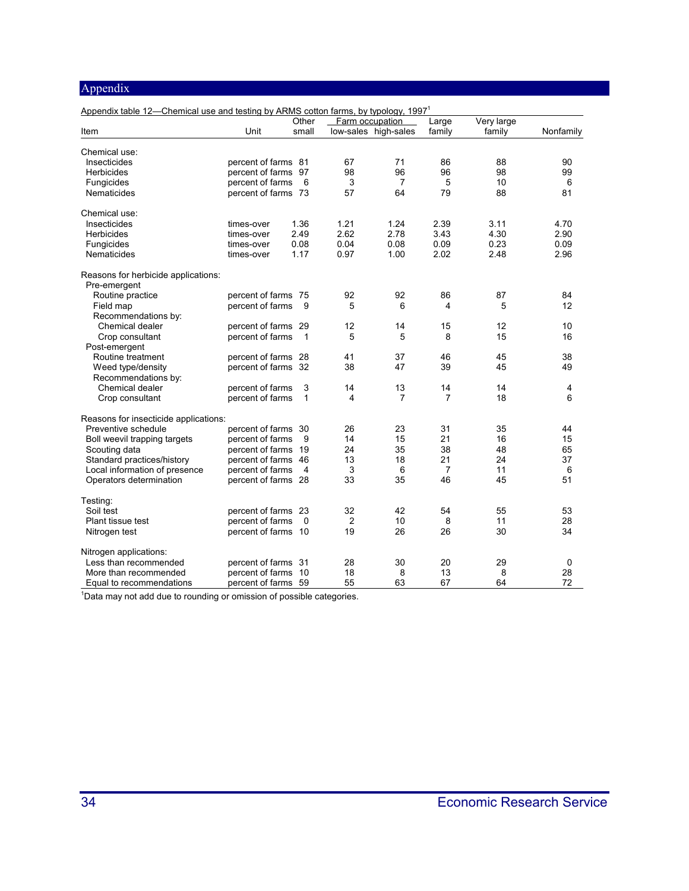| Appendix table 12-Chemical use and testing by ARMS cotton farms, by typology, 1997 <sup>1</sup> |                     |                |      |                      |        |            |           |
|-------------------------------------------------------------------------------------------------|---------------------|----------------|------|----------------------|--------|------------|-----------|
|                                                                                                 |                     | Other          |      | Farm occupation      | Large  | Very large |           |
| Item                                                                                            | Unit                | small          |      | low-sales high-sales | family | family     | Nonfamily |
| Chemical use:                                                                                   |                     |                |      |                      |        |            |           |
| Insecticides                                                                                    | percent of farms 81 |                | 67   | 71                   | 86     | 88         | 90        |
| Herbicides                                                                                      | percent of farms    | 97             | 98   | 96                   | 96     | 98         | 99        |
| Fungicides                                                                                      | percent of farms    | 6              | 3    | 7                    | 5      | 10         | 6         |
| Nematicides                                                                                     | percent of farms 73 |                | 57   | 64                   | 79     | 88         | 81        |
| Chemical use:                                                                                   |                     |                |      |                      |        |            |           |
| Insecticides                                                                                    | times-over          | 1.36           | 1.21 | 1.24                 | 2.39   | 3.11       | 4.70      |
| <b>Herbicides</b>                                                                               | times-over          | 2.49           | 2.62 | 2.78                 | 3.43   | 4.30       | 2.90      |
| Fungicides                                                                                      | times-over          | 0.08           | 0.04 | 0.08                 | 0.09   | 0.23       | 0.09      |
| Nematicides                                                                                     | times-over          | 1.17           | 0.97 | 1.00                 | 2.02   | 2.48       | 2.96      |
| Reasons for herbicide applications:<br>Pre-emergent                                             |                     |                |      |                      |        |            |           |
| Routine practice                                                                                | percent of farms 75 |                | 92   | 92                   | 86     | 87         | 84        |
| Field map                                                                                       | percent of farms    | 9              | 5    | 6                    | 4      | 5          | 12        |
|                                                                                                 |                     |                |      |                      |        |            |           |
| Recommendations by:                                                                             |                     |                |      |                      |        |            |           |
| Chemical dealer                                                                                 | percent of farms    | 29             | 12   | 14                   | 15     | 12         | 10        |
| Crop consultant                                                                                 | percent of farms    | 1              | 5    | 5                    | 8      | 15         | 16        |
| Post-emergent                                                                                   |                     |                |      |                      |        |            |           |
| Routine treatment                                                                               | percent of farms 28 |                | 41   | 37                   | 46     | 45         | 38        |
| Weed type/density                                                                               | percent of farms 32 |                | 38   | 47                   | 39     | 45         | 49        |
| Recommendations by:                                                                             |                     |                |      |                      |        |            |           |
| Chemical dealer                                                                                 | percent of farms    | 3              | 14   | 13                   | 14     | 14         | 4         |
| Crop consultant                                                                                 | percent of farms    | 1              | 4    | 7                    | 7      | 18         | 6         |
| Reasons for insecticide applications:                                                           |                     |                |      |                      |        |            |           |
| Preventive schedule                                                                             | percent of farms 30 |                | 26   | 23                   | 31     | 35         | 44        |
| Boll weevil trapping targets                                                                    | percent of farms    | 9              | 14   | 15                   | 21     | 16         | 15        |
| Scouting data                                                                                   | percent of farms    | 19             | 24   | 35                   | 38     | 48         | 65        |
| Standard practices/history                                                                      | percent of farms    | 46             | 13   | 18                   | 21     | 24         | 37        |
| Local information of presence                                                                   | percent of farms    | $\overline{4}$ | 3    | 6                    | 7      | 11         | 6         |
| Operators determination                                                                         | percent of farms 28 |                | 33   | 35                   | 46     | 45         | 51        |
| Testing:                                                                                        |                     |                |      |                      |        |            |           |
| Soil test                                                                                       | percent of farms    | 23             | 32   | 42                   | 54     | 55         | 53        |
| Plant tissue test                                                                               | percent of farms    | $\Omega$       | 2    | 10                   | 8      | 11         | 28        |
| Nitrogen test                                                                                   | percent of farms 10 |                | 19   | 26                   | 26     | 30         | 34        |
| Nitrogen applications:                                                                          |                     |                |      |                      |        |            |           |
| Less than recommended                                                                           | percent of farms 31 |                | 28   | 30                   | 20     | 29         | 0         |
| More than recommended                                                                           | percent of farms    | 10             | 18   | 8                    | 13     | 8          | 28        |
| Equal to recommendations                                                                        | percent of farms 59 |                | 55   | 63                   | 67     | 64         | 72        |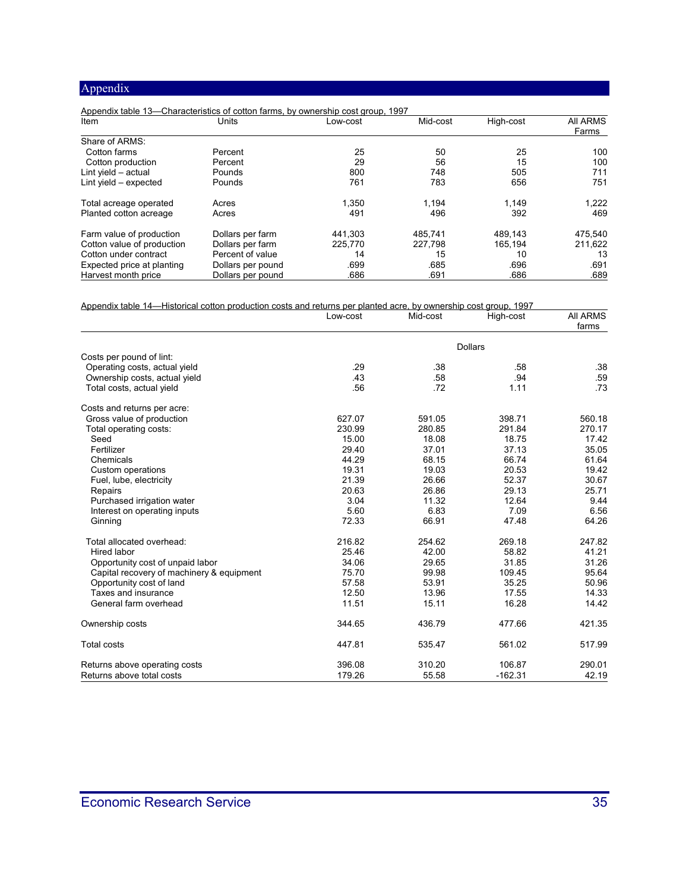| Appendix table 13—Characteristics of cotton farms, by ownership cost group, 1997 |                   |          |          |           |                          |
|----------------------------------------------------------------------------------|-------------------|----------|----------|-----------|--------------------------|
| Item                                                                             | Units             | Low-cost | Mid-cost | High-cost | <b>AII ARMS</b><br>Farms |
| Share of ARMS:                                                                   |                   |          |          |           |                          |
| Cotton farms                                                                     | Percent           | 25       | 50       | 25        | 100                      |
| Cotton production                                                                | Percent           | 29       | 56       | 15        | 100                      |
| Lint yield $-$ actual                                                            | Pounds            | 800      | 748      | 505       | 711                      |
| Lint yield $-$ expected                                                          | Pounds            | 761      | 783      | 656       | 751                      |
| Total acreage operated                                                           | Acres             | 1,350    | 1.194    | 1.149     | 1,222                    |
| Planted cotton acreage                                                           | Acres             | 491      | 496      | 392       | 469                      |
| Farm value of production                                                         | Dollars per farm  | 441.303  | 485.741  | 489.143   | 475.540                  |
| Cotton value of production                                                       | Dollars per farm  | 225.770  | 227,798  | 165.194   | 211.622                  |
| Cotton under contract                                                            | Percent of value  | 14       | 15       | 10        | 13                       |
| Expected price at planting                                                       | Dollars per pound | .699     | .685     | .696      | .691                     |
| Harvest month price                                                              | Dollars per pound | .686     | .691     | .686      | .689                     |

| Appendix table 14—Historical cotton production costs and returns per planted acre, by ownership cost group, 1997 |          |          |                |                          |  |  |
|------------------------------------------------------------------------------------------------------------------|----------|----------|----------------|--------------------------|--|--|
|                                                                                                                  | Low-cost | Mid-cost | High-cost      | <b>AII ARMS</b><br>farms |  |  |
|                                                                                                                  |          |          | <b>Dollars</b> |                          |  |  |
| Costs per pound of lint:                                                                                         |          |          |                |                          |  |  |
| Operating costs, actual yield                                                                                    | .29      | .38      | .58            | .38                      |  |  |
| Ownership costs, actual yield                                                                                    | .43      | .58      | .94            | .59                      |  |  |
| Total costs, actual yield                                                                                        | .56      | .72      | 1.11           | .73                      |  |  |
| Costs and returns per acre:                                                                                      |          |          |                |                          |  |  |
| Gross value of production                                                                                        | 627.07   | 591.05   | 398.71         | 560.18                   |  |  |
| Total operating costs:                                                                                           | 230.99   | 280.85   | 291.84         | 270.17                   |  |  |
| Seed                                                                                                             | 15.00    | 18.08    | 18.75          | 17.42                    |  |  |
| Fertilizer                                                                                                       | 29.40    | 37.01    | 37.13          | 35.05                    |  |  |
| Chemicals                                                                                                        | 44.29    | 68.15    | 66.74          | 61.64                    |  |  |
| Custom operations                                                                                                | 19.31    | 19.03    | 20.53          | 19.42                    |  |  |
| Fuel, lube, electricity                                                                                          | 21.39    | 26.66    | 52.37          | 30.67                    |  |  |
| Repairs                                                                                                          | 20.63    | 26.86    | 29.13          | 25.71                    |  |  |
| Purchased irrigation water                                                                                       | 3.04     | 11.32    | 12.64          | 9.44                     |  |  |
| Interest on operating inputs                                                                                     | 5.60     | 6.83     | 7.09           | 6.56                     |  |  |
| Ginning                                                                                                          | 72.33    | 66.91    | 47.48          | 64.26                    |  |  |
| Total allocated overhead:                                                                                        | 216.82   | 254.62   | 269.18         | 247.82                   |  |  |
| Hired labor                                                                                                      | 25.46    | 42.00    | 58.82          | 41.21                    |  |  |
| Opportunity cost of unpaid labor                                                                                 | 34.06    | 29.65    | 31.85          | 31.26                    |  |  |
| Capital recovery of machinery & equipment                                                                        | 75.70    | 99.98    | 109.45         | 95.64                    |  |  |
| Opportunity cost of land                                                                                         | 57.58    | 53.91    | 35.25          | 50.96                    |  |  |
| Taxes and insurance                                                                                              | 12.50    | 13.96    | 17.55          | 14.33                    |  |  |
| General farm overhead                                                                                            | 11.51    | 15.11    | 16.28          | 14.42                    |  |  |
| Ownership costs                                                                                                  | 344.65   | 436.79   | 477.66         | 421.35                   |  |  |
| <b>Total costs</b>                                                                                               | 447.81   | 535.47   | 561.02         | 517.99                   |  |  |
| Returns above operating costs                                                                                    | 396.08   | 310.20   | 106.87         | 290.01                   |  |  |
| Returns above total costs                                                                                        | 179.26   | 55.58    | $-162.31$      | 42.19                    |  |  |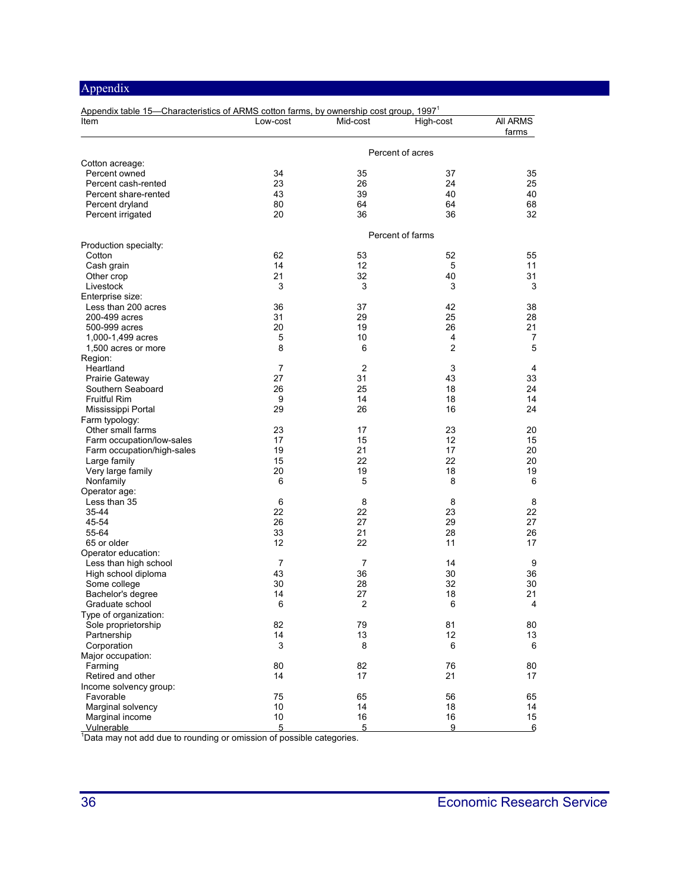| Appendix table 15-Characteristics of ARMS cotton farms, by ownership cost group, 1997 <sup>1</sup><br>Item | Low-cost         | Mid-cost       | High-cost      | All ARMS |  |  |
|------------------------------------------------------------------------------------------------------------|------------------|----------------|----------------|----------|--|--|
|                                                                                                            |                  |                |                | farms    |  |  |
| Cotton acreage:                                                                                            | Percent of acres |                |                |          |  |  |
| Percent owned                                                                                              | 34               | 35             | 37             | 35       |  |  |
| Percent cash-rented                                                                                        | 23               | 26             | 24             | 25       |  |  |
| Percent share-rented                                                                                       | 43               | 39             | 40             | 40       |  |  |
| Percent dryland                                                                                            | 80               | 64             | 64             | 68       |  |  |
| Percent irrigated                                                                                          | 20               | 36             | 36             | 32       |  |  |
|                                                                                                            | Percent of farms |                |                |          |  |  |
| Production specialty:                                                                                      |                  |                |                |          |  |  |
| Cotton                                                                                                     | 62               | 53             | 52             | 55       |  |  |
| Cash grain                                                                                                 | 14               | 12             | 5              | 11       |  |  |
| Other crop                                                                                                 | 21               | 32             | 40             | 31       |  |  |
| Livestock                                                                                                  | 3                | 3              | 3              | 3        |  |  |
| Enterprise size:<br>Less than 200 acres                                                                    | 36               | 37             | 42             | 38       |  |  |
| 200-499 acres                                                                                              | 31               | 29             | 25             | 28       |  |  |
| 500-999 acres                                                                                              | 20               | 19             | 26             | 21       |  |  |
| 1,000-1,499 acres                                                                                          | 5                | 10             | 4              | 7        |  |  |
| 1,500 acres or more                                                                                        | 8                | 6              | $\overline{2}$ | 5        |  |  |
| Region:                                                                                                    |                  |                |                |          |  |  |
| Heartland                                                                                                  | $\overline{7}$   | $\overline{2}$ | 3              | 4        |  |  |
| Prairie Gateway                                                                                            | 27               | 31             | 43             | 33       |  |  |
| Southern Seaboard                                                                                          | 26               | 25             | 18             | 24       |  |  |
| <b>Fruitful Rim</b>                                                                                        | 9                | 14             | 18             | 14       |  |  |
| Mississippi Portal                                                                                         | 29               | 26             | 16             | 24       |  |  |
| Farm typology:                                                                                             |                  |                |                |          |  |  |
| Other small farms                                                                                          | 23               | 17             | 23             | 20       |  |  |
| Farm occupation/low-sales                                                                                  | 17               | 15             | 12             | 15       |  |  |
| Farm occupation/high-sales                                                                                 | 19               | 21             | 17             | 20       |  |  |
| Large family                                                                                               | 15               | 22             | 22             | 20       |  |  |
| Very large family                                                                                          | 20               | 19             | 18             | 19       |  |  |
| Nonfamily                                                                                                  | 6                | 5              | 8              | 6        |  |  |
| Operator age:                                                                                              |                  |                |                |          |  |  |
| Less than 35                                                                                               | 6                | 8              | 8              | 8        |  |  |
| 35-44                                                                                                      | 22               | 22             | 23             | 22       |  |  |
| 45-54                                                                                                      | 26               | 27             | 29             | 27       |  |  |
| 55-64                                                                                                      | 33               | 21             | 28             | 26       |  |  |
| 65 or older                                                                                                | 12               | 22             | 11             | 17       |  |  |
| Operator education:<br>Less than high school                                                               | 7                | 7              | 14             | 9        |  |  |
| High school diploma                                                                                        | 43               | 36             | 30             | 36       |  |  |
| Some college                                                                                               | 30               | 28             | 32             | 30       |  |  |
| Bachelor's degree                                                                                          | 14               | 27             | 18             | 21       |  |  |
| Graduate school                                                                                            | 6                | 2              | 6              | 4        |  |  |
| Type of organization:                                                                                      |                  |                |                |          |  |  |
| Sole proprietorship                                                                                        | 82               | 79             | 81             | 80       |  |  |
| Partnership                                                                                                | 14               | 13             | 12             | 13       |  |  |
| Corporation                                                                                                | 3                | 8              | 6              | 6        |  |  |
| Major occupation:                                                                                          |                  |                |                |          |  |  |
| Farming                                                                                                    | 80               | 82             | 76             | 80       |  |  |
| Retired and other                                                                                          | 14               | 17             | 21             | 17       |  |  |
| Income solvency group:                                                                                     |                  |                |                |          |  |  |
| Favorable                                                                                                  | 75               | 65             | 56             | 65       |  |  |
| Marginal solvency                                                                                          | 10               | 14             | 18             | 14       |  |  |
| Marginal income                                                                                            | 10               | 16             | 16             | 15       |  |  |
| Vulnerable<br><sup>1</sup> Data may not add due to rounding or omission of possible categories.            | 5                | 5              | 9              | 6        |  |  |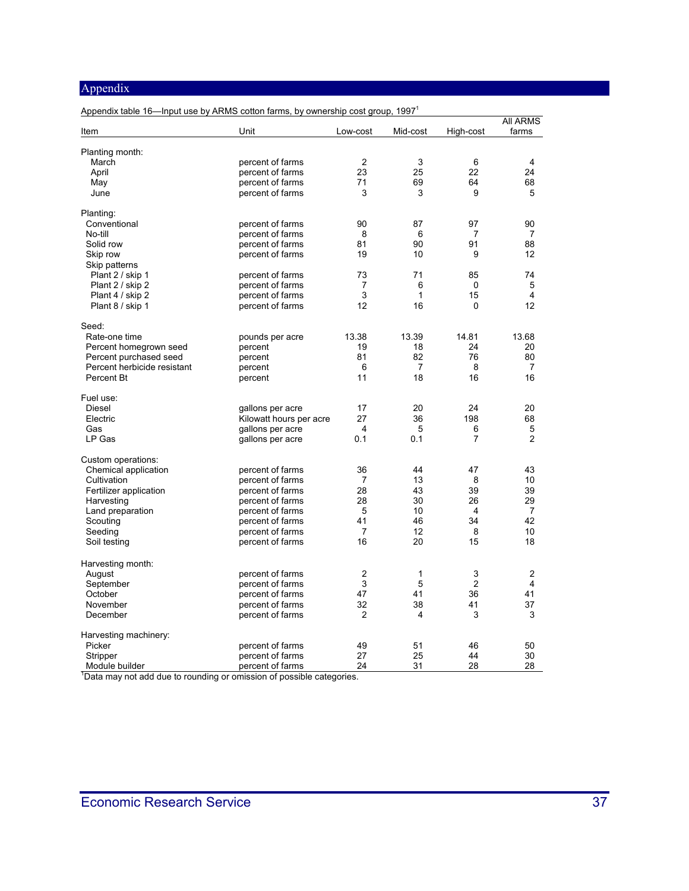| Item                                                                              | Unit                    | Low-cost       | Mid-cost | High-cost      | <b>AII ARMS</b><br>farms |
|-----------------------------------------------------------------------------------|-------------------------|----------------|----------|----------------|--------------------------|
|                                                                                   |                         |                |          |                |                          |
| Planting month:                                                                   |                         |                |          |                |                          |
| March                                                                             | percent of farms        | 2<br>23        | 3<br>25  | 6<br>22        | $\overline{4}$<br>24     |
| April                                                                             | percent of farms        |                |          | 64             |                          |
| May                                                                               | percent of farms        | 71<br>3        | 69<br>3  | 9              | 68<br>5                  |
| June                                                                              | percent of farms        |                |          |                |                          |
| Planting:                                                                         |                         |                |          |                |                          |
| Conventional                                                                      | percent of farms        | 90             | 87       | 97             | 90                       |
| No-till                                                                           | percent of farms        | 8              | 6        | 7              | 7                        |
| Solid row                                                                         | percent of farms        | 81             | 90       | 91             | 88                       |
| Skip row                                                                          | percent of farms        | 19             | 10       | 9              | 12                       |
| Skip patterns                                                                     |                         |                |          |                |                          |
| Plant 2 / skip 1                                                                  | percent of farms        | 73             | 71       | 85             | 74                       |
| Plant 2 / skip 2                                                                  | percent of farms        | 7<br>3         | 6<br>1   | 0<br>15        | 5<br>4                   |
| Plant 4 / skip 2                                                                  | percent of farms        | 12             | 16       | 0              | 12                       |
| Plant 8 / skip 1                                                                  | percent of farms        |                |          |                |                          |
| Seed:                                                                             |                         |                |          |                |                          |
| Rate-one time                                                                     | pounds per acre         | 13.38          | 13.39    | 14.81          | 13.68                    |
| Percent homegrown seed                                                            | percent                 | 19             | 18       | 24             | 20                       |
| Percent purchased seed                                                            | percent                 | 81             | 82       | 76             | 80                       |
| Percent herbicide resistant                                                       | percent                 | 6              | 7        | 8              | 7                        |
| Percent Bt                                                                        | percent                 | 11             | 18       | 16             | 16                       |
| Fuel use:                                                                         |                         |                |          |                |                          |
| Diesel                                                                            | gallons per acre        | 17             | 20       | 24             | 20                       |
| Electric                                                                          | Kilowatt hours per acre | 27             | 36       | 198            | 68                       |
| Gas                                                                               | gallons per acre        | 4              | 5        | 6              | 5                        |
| LP Gas                                                                            | gallons per acre        | 0.1            | 0.1      | 7              | $\overline{2}$           |
| Custom operations:                                                                |                         |                |          |                |                          |
| Chemical application                                                              | percent of farms        | 36             | 44       | 47             | 43                       |
| Cultivation                                                                       | percent of farms        | 7              | 13       | 8              | 10                       |
| Fertilizer application                                                            | percent of farms        | 28             | 43       | 39             | 39                       |
| Harvesting                                                                        | percent of farms        | 28             | 30       | 26             | 29                       |
| Land preparation                                                                  | percent of farms        | 5              | 10       | 4              | 7                        |
| Scouting                                                                          | percent of farms        | 41             | 46       | 34             | 42                       |
| Seeding                                                                           | percent of farms        | 7              | 12       | 8              | 10                       |
| Soil testing                                                                      | percent of farms        | 16             | 20       | 15             | 18                       |
| Harvesting month:                                                                 |                         |                |          |                |                          |
| August                                                                            | percent of farms        | $\overline{2}$ | 1        | 3              | 2                        |
| September                                                                         | percent of farms        | 3              | 5        | $\overline{c}$ | 4                        |
| October                                                                           | percent of farms        | 47             | 41       | 36             | 41                       |
| November                                                                          | percent of farms        | 32             | 38       | 41             | 37                       |
| December                                                                          | percent of farms        | 2              | 4        | 3              | 3                        |
| Harvesting machinery:                                                             |                         |                |          |                |                          |
| Picker                                                                            | percent of farms        | 49             | 51       | 46             | 50                       |
| Stripper                                                                          | percent of farms        | 27             | 25       | 44             | 30                       |
| Module builder                                                                    | percent of farms        | 24             | 31       | 28             | 28                       |
| <sup>1</sup> Data may not add due to rounding or omission of possible categories. |                         |                |          |                |                          |